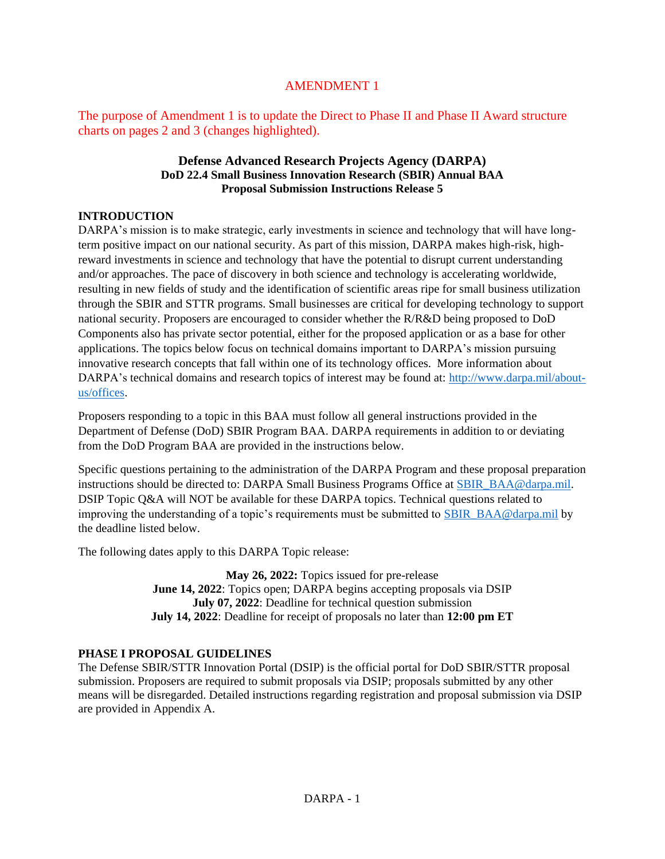# AMENDMENT 1

The purpose of Amendment 1 is to update the Direct to Phase II and Phase II Award structure charts on pages 2 and 3 (changes highlighted).

## **Defense Advanced Research Projects Agency (DARPA) DoD 22.4 Small Business Innovation Research (SBIR) Annual BAA Proposal Submission Instructions Release 5**

## **INTRODUCTION**

DARPA's mission is to make strategic, early investments in science and technology that will have longterm positive impact on our national security. As part of this mission, DARPA makes high-risk, highreward investments in science and technology that have the potential to disrupt current understanding and/or approaches. The pace of discovery in both science and technology is accelerating worldwide, resulting in new fields of study and the identification of scientific areas ripe for small business utilization through the SBIR and STTR programs. Small businesses are critical for developing technology to support national security. Proposers are encouraged to consider whether the R/R&D being proposed to DoD Components also has private sector potential, either for the proposed application or as a base for other applications. The topics below focus on technical domains important to DARPA's mission pursuing innovative research concepts that fall within one of its technology offices. More information about DARPA's technical domains and research topics of interest may be found at: [http://www.darpa.mil/about](http://www.darpa.mil/about-us/offices)[us/offices.](http://www.darpa.mil/about-us/offices)

Proposers responding to a topic in this BAA must follow all general instructions provided in the Department of Defense (DoD) SBIR Program BAA. DARPA requirements in addition to or deviating from the DoD Program BAA are provided in the instructions below.

Specific questions pertaining to the administration of the DARPA Program and these proposal preparation instructions should be directed to: DARPA Small Business Programs Office at [SBIR\\_BAA@darpa.mil.](mailto:SBIR_BAA@darpa.mil) DSIP Topic Q&A will NOT be available for these DARPA topics. Technical questions related to improving the understanding of a topic's requirements must be submitted to [SBIR\\_BAA@darpa.mil](mailto:SBIR_BAA@darpa.mil) by the deadline listed below.

The following dates apply to this DARPA Topic release:

**May 26, 2022:** Topics issued for pre-release **June 14, 2022**: Topics open; DARPA begins accepting proposals via DSIP **July 07, 2022**: Deadline for technical question submission **July 14, 2022**: Deadline for receipt of proposals no later than **12:00 pm ET**

## **PHASE I PROPOSAL GUIDELINES**

The Defense SBIR/STTR Innovation Portal (DSIP) is the official portal for DoD SBIR/STTR proposal submission. Proposers are required to submit proposals via DSIP; proposals submitted by any other means will be disregarded. Detailed instructions regarding registration and proposal submission via DSIP are provided in Appendix A.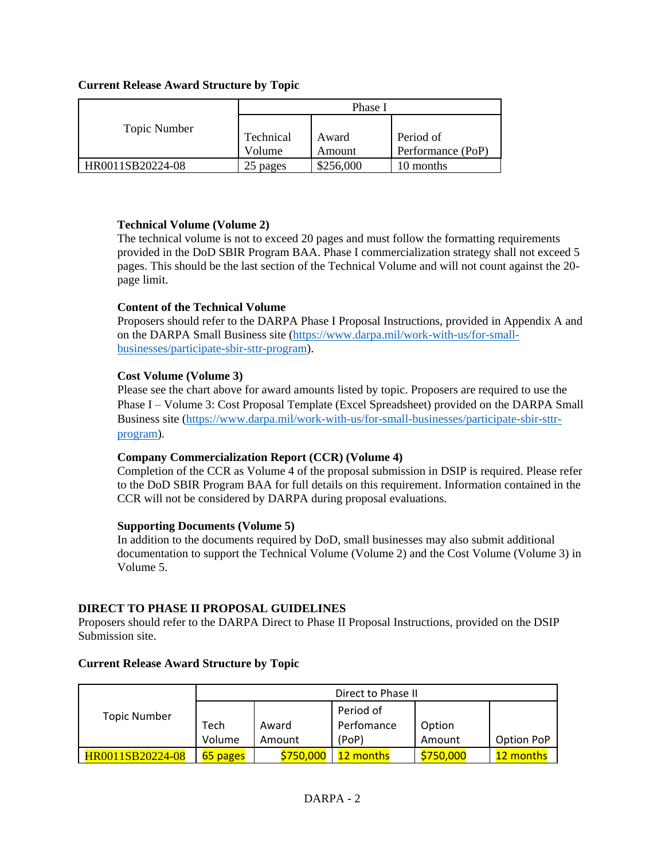## **Current Release Award Structure by Topic**

|                  | Phase I             |                 |                                |
|------------------|---------------------|-----------------|--------------------------------|
| Topic Number     | Technical<br>Volume | Award<br>Amount | Period of<br>Performance (PoP) |
|                  |                     |                 |                                |
| HR0011SB20224-08 | 25 pages            | \$256,000       | 10 months                      |

### **Technical Volume (Volume 2)**

The technical volume is not to exceed 20 pages and must follow the formatting requirements provided in the DoD SBIR Program BAA. Phase I commercialization strategy shall not exceed 5 pages. This should be the last section of the Technical Volume and will not count against the 20 page limit.

## **Content of the Technical Volume**

Proposers should refer to the DARPA Phase I Proposal Instructions, provided in Appendix A and on the DARPA Small Business site [\(https://www.darpa.mil/work-with-us/for-small](https://www.darpa.mil/work-with-us/for-small-businesses/participate-sbir-sttr-program)[businesses/participate-sbir-sttr-program\)](https://www.darpa.mil/work-with-us/for-small-businesses/participate-sbir-sttr-program).

## **Cost Volume (Volume 3)**

Please see the chart above for award amounts listed by topic. Proposers are required to use the Phase I – Volume 3: Cost Proposal Template (Excel Spreadsheet) provided on the DARPA Small Business site [\(https://www.darpa.mil/work-with-us/for-small-businesses/participate-sbir-sttr](https://www.darpa.mil/work-with-us/for-small-businesses/participate-sbir-sttr-program)[program\)](https://www.darpa.mil/work-with-us/for-small-businesses/participate-sbir-sttr-program).

### **Company Commercialization Report (CCR) (Volume 4)**

Completion of the CCR as Volume 4 of the proposal submission in DSIP is required. Please refer to the DoD SBIR Program BAA for full details on this requirement. Information contained in the CCR will not be considered by DARPA during proposal evaluations.

### **Supporting Documents (Volume 5)**

In addition to the documents required by DoD, small businesses may also submit additional documentation to support the Technical Volume (Volume 2) and the Cost Volume (Volume 3) in Volume 5.

## **DIRECT TO PHASE II PROPOSAL GUIDELINES**

Proposers should refer to the DARPA Direct to Phase II Proposal Instructions, provided on the DSIP Submission site.

### **Current Release Award Structure by Topic**

|                     | Direct to Phase II |           |            |           |            |
|---------------------|--------------------|-----------|------------|-----------|------------|
| <b>Topic Number</b> |                    |           | Period of  |           |            |
|                     | Tech               | Award     | Perfomance | Option    |            |
|                     | Volume             | Amount    | (PoP)      | Amount    | Option PoP |
| HR0011SB20224-08    | 65 pages           | \$750,000 | 12 months  | \$750,000 | 12 months  |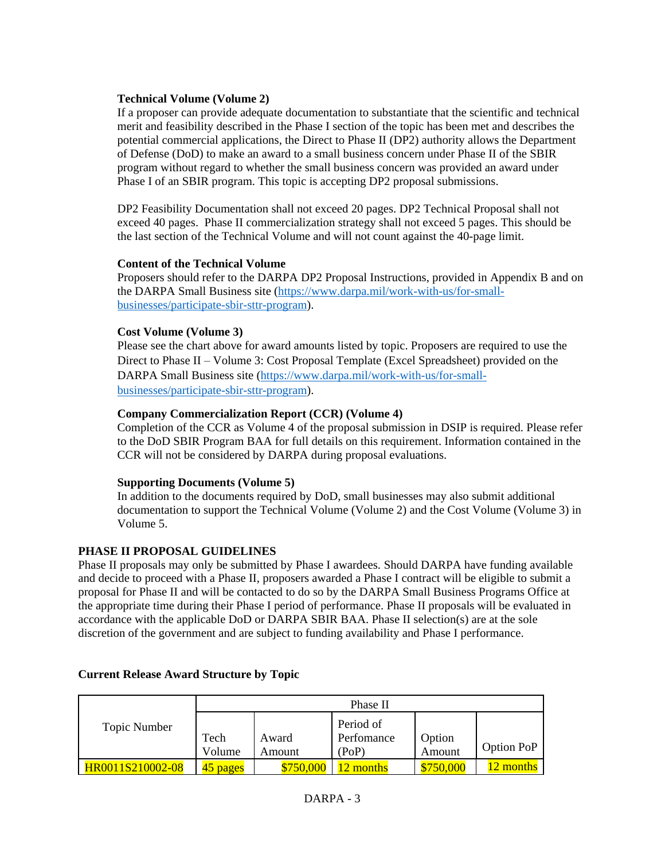## **Technical Volume (Volume 2)**

If a proposer can provide adequate documentation to substantiate that the scientific and technical merit and feasibility described in the Phase I section of the topic has been met and describes the potential commercial applications, the Direct to Phase II (DP2) authority allows the Department of Defense (DoD) to make an award to a small business concern under Phase II of the SBIR program without regard to whether the small business concern was provided an award under Phase I of an SBIR program. This topic is accepting DP2 proposal submissions.

DP2 Feasibility Documentation shall not exceed 20 pages. DP2 Technical Proposal shall not exceed 40 pages. Phase II commercialization strategy shall not exceed 5 pages. This should be the last section of the Technical Volume and will not count against the 40-page limit.

## **Content of the Technical Volume**

Proposers should refer to the DARPA DP2 Proposal Instructions, provided in Appendix B and on the DARPA Small Business site [\(https://www.darpa.mil/work-with-us/for-small](https://www.darpa.mil/work-with-us/for-small-businesses/participate-sbir-sttr-program)[businesses/participate-sbir-sttr-program\)](https://www.darpa.mil/work-with-us/for-small-businesses/participate-sbir-sttr-program).

## **Cost Volume (Volume 3)**

Please see the chart above for award amounts listed by topic. Proposers are required to use the Direct to Phase II – Volume 3: Cost Proposal Template (Excel Spreadsheet) provided on the DARPA Small Business site [\(https://www.darpa.mil/work-with-us/for-small](https://www.darpa.mil/work-with-us/for-small-businesses/participate-sbir-sttr-program)[businesses/participate-sbir-sttr-program\)](https://www.darpa.mil/work-with-us/for-small-businesses/participate-sbir-sttr-program).

## **Company Commercialization Report (CCR) (Volume 4)**

Completion of the CCR as Volume 4 of the proposal submission in DSIP is required. Please refer to the DoD SBIR Program BAA for full details on this requirement. Information contained in the CCR will not be considered by DARPA during proposal evaluations.

## **Supporting Documents (Volume 5)**

In addition to the documents required by DoD, small businesses may also submit additional documentation to support the Technical Volume (Volume 2) and the Cost Volume (Volume 3) in Volume 5.

## **PHASE II PROPOSAL GUIDELINES**

Phase II proposals may only be submitted by Phase I awardees. Should DARPA have funding available and decide to proceed with a Phase II, proposers awarded a Phase I contract will be eligible to submit a proposal for Phase II and will be contacted to do so by the DARPA Small Business Programs Office at the appropriate time during their Phase I period of performance. Phase II proposals will be evaluated in accordance with the applicable DoD or DARPA SBIR BAA. Phase II selection(s) are at the sole discretion of the government and are subject to funding availability and Phase I performance.

|                  | Phase II |           |            |         |            |
|------------------|----------|-----------|------------|---------|------------|
| Topic Number     |          |           | Period of  |         |            |
|                  | Tech     | Award     | Perfomance | Option  |            |
|                  | Volume   | Amount    | (PoP)      | Amount  | Option PoP |
| HR0011S210002-08 | 45 pages | \$750,000 | 2 months   | 750,000 | 12 months  |

## **Current Release Award Structure by Topic**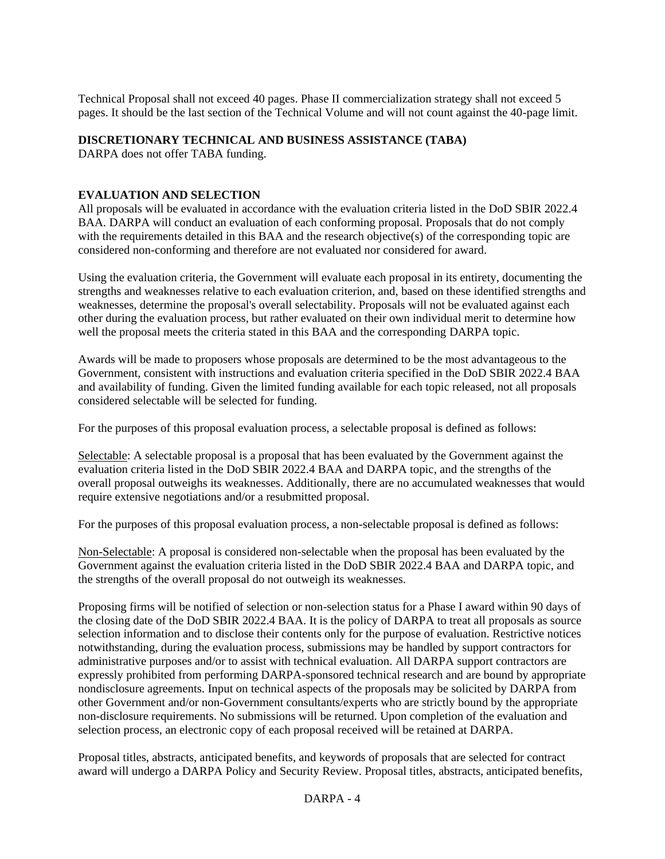Technical Proposal shall not exceed 40 pages. Phase II commercialization strategy shall not exceed 5 pages. It should be the last section of the Technical Volume and will not count against the 40-page limit.

## **DISCRETIONARY TECHNICAL AND BUSINESS ASSISTANCE (TABA)**

DARPA does not offer TABA funding.

## **EVALUATION AND SELECTION**

All proposals will be evaluated in accordance with the evaluation criteria listed in the DoD SBIR 2022.4 BAA. DARPA will conduct an evaluation of each conforming proposal. Proposals that do not comply with the requirements detailed in this BAA and the research objective(s) of the corresponding topic are considered non-conforming and therefore are not evaluated nor considered for award.

Using the evaluation criteria, the Government will evaluate each proposal in its entirety, documenting the strengths and weaknesses relative to each evaluation criterion, and, based on these identified strengths and weaknesses, determine the proposal's overall selectability. Proposals will not be evaluated against each other during the evaluation process, but rather evaluated on their own individual merit to determine how well the proposal meets the criteria stated in this BAA and the corresponding DARPA topic.

Awards will be made to proposers whose proposals are determined to be the most advantageous to the Government, consistent with instructions and evaluation criteria specified in the DoD SBIR 2022.4 BAA and availability of funding. Given the limited funding available for each topic released, not all proposals considered selectable will be selected for funding.

For the purposes of this proposal evaluation process, a selectable proposal is defined as follows:

Selectable: A selectable proposal is a proposal that has been evaluated by the Government against the evaluation criteria listed in the DoD SBIR 2022.4 BAA and DARPA topic, and the strengths of the overall proposal outweighs its weaknesses. Additionally, there are no accumulated weaknesses that would require extensive negotiations and/or a resubmitted proposal.

For the purposes of this proposal evaluation process, a non-selectable proposal is defined as follows:

Non-Selectable: A proposal is considered non-selectable when the proposal has been evaluated by the Government against the evaluation criteria listed in the DoD SBIR 2022.4 BAA and DARPA topic, and the strengths of the overall proposal do not outweigh its weaknesses.

Proposing firms will be notified of selection or non-selection status for a Phase I award within 90 days of the closing date of the DoD SBIR 2022.4 BAA. It is the policy of DARPA to treat all proposals as source selection information and to disclose their contents only for the purpose of evaluation. Restrictive notices notwithstanding, during the evaluation process, submissions may be handled by support contractors for administrative purposes and/or to assist with technical evaluation. All DARPA support contractors are expressly prohibited from performing DARPA-sponsored technical research and are bound by appropriate nondisclosure agreements. Input on technical aspects of the proposals may be solicited by DARPA from other Government and/or non-Government consultants/experts who are strictly bound by the appropriate non-disclosure requirements. No submissions will be returned. Upon completion of the evaluation and selection process, an electronic copy of each proposal received will be retained at DARPA.

Proposal titles, abstracts, anticipated benefits, and keywords of proposals that are selected for contract award will undergo a DARPA Policy and Security Review. Proposal titles, abstracts, anticipated benefits,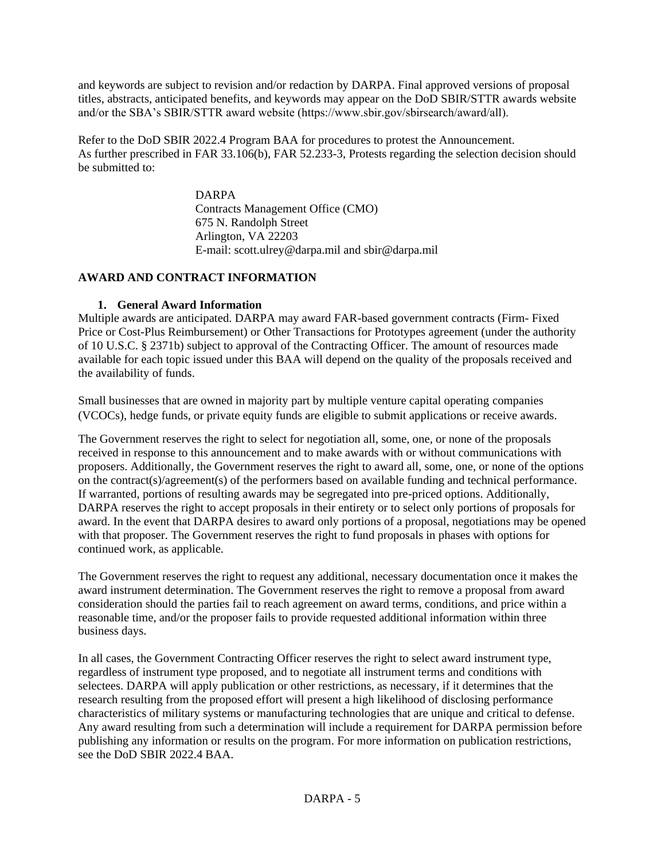and keywords are subject to revision and/or redaction by DARPA. Final approved versions of proposal titles, abstracts, anticipated benefits, and keywords may appear on the DoD SBIR/STTR awards website and/or the SBA's SBIR/STTR award website (https://www.sbir.gov/sbirsearch/award/all).

Refer to the DoD SBIR 2022.4 Program BAA for procedures to protest the Announcement. As further prescribed in FAR 33.106(b), FAR 52.233-3, Protests regarding the selection decision should be submitted to:

> DARPA Contracts Management Office (CMO) 675 N. Randolph Street Arlington, VA 22203 E-mail: scott.ulrey@darpa.mil and sbir@darpa.mil

## **AWARD AND CONTRACT INFORMATION**

## **1. General Award Information**

Multiple awards are anticipated. DARPA may award FAR-based government contracts (Firm- Fixed Price or Cost-Plus Reimbursement) or Other Transactions for Prototypes agreement (under the authority of 10 U.S.C. § 2371b) subject to approval of the Contracting Officer. The amount of resources made available for each topic issued under this BAA will depend on the quality of the proposals received and the availability of funds.

Small businesses that are owned in majority part by multiple venture capital operating companies (VCOCs), hedge funds, or private equity funds are eligible to submit applications or receive awards.

The Government reserves the right to select for negotiation all, some, one, or none of the proposals received in response to this announcement and to make awards with or without communications with proposers. Additionally, the Government reserves the right to award all, some, one, or none of the options on the contract(s)/agreement(s) of the performers based on available funding and technical performance. If warranted, portions of resulting awards may be segregated into pre-priced options. Additionally, DARPA reserves the right to accept proposals in their entirety or to select only portions of proposals for award. In the event that DARPA desires to award only portions of a proposal, negotiations may be opened with that proposer. The Government reserves the right to fund proposals in phases with options for continued work, as applicable.

The Government reserves the right to request any additional, necessary documentation once it makes the award instrument determination. The Government reserves the right to remove a proposal from award consideration should the parties fail to reach agreement on award terms, conditions, and price within a reasonable time, and/or the proposer fails to provide requested additional information within three business days.

In all cases, the Government Contracting Officer reserves the right to select award instrument type, regardless of instrument type proposed, and to negotiate all instrument terms and conditions with selectees. DARPA will apply publication or other restrictions, as necessary, if it determines that the research resulting from the proposed effort will present a high likelihood of disclosing performance characteristics of military systems or manufacturing technologies that are unique and critical to defense. Any award resulting from such a determination will include a requirement for DARPA permission before publishing any information or results on the program. For more information on publication restrictions, see the DoD SBIR 2022.4 BAA.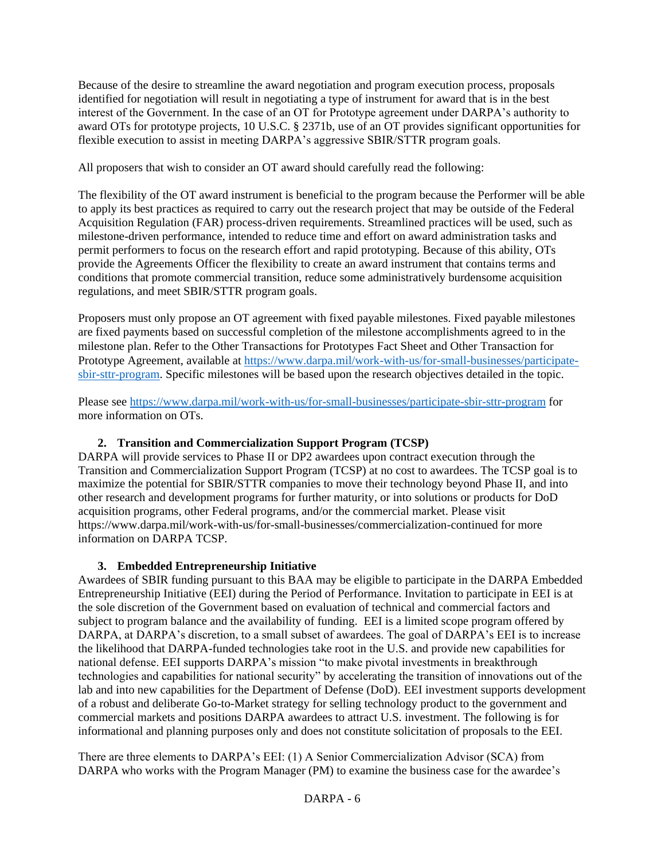Because of the desire to streamline the award negotiation and program execution process, proposals identified for negotiation will result in negotiating a type of instrument for award that is in the best interest of the Government. In the case of an OT for Prototype agreement under DARPA's authority to award OTs for prototype projects, 10 U.S.C. § 2371b, use of an OT provides significant opportunities for flexible execution to assist in meeting DARPA's aggressive SBIR/STTR program goals.

All proposers that wish to consider an OT award should carefully read the following:

The flexibility of the OT award instrument is beneficial to the program because the Performer will be able to apply its best practices as required to carry out the research project that may be outside of the Federal Acquisition Regulation (FAR) process-driven requirements. Streamlined practices will be used, such as milestone-driven performance, intended to reduce time and effort on award administration tasks and permit performers to focus on the research effort and rapid prototyping. Because of this ability, OTs provide the Agreements Officer the flexibility to create an award instrument that contains terms and conditions that promote commercial transition, reduce some administratively burdensome acquisition regulations, and meet SBIR/STTR program goals.

Proposers must only propose an OT agreement with fixed payable milestones. Fixed payable milestones are fixed payments based on successful completion of the milestone accomplishments agreed to in the milestone plan. Refer to the Other Transactions for Prototypes Fact Sheet and Other Transaction for Prototype Agreement, available at [https://www.darpa.mil/work-with-us/for-small-businesses/participate](https://www.darpa.mil/work-with-us/for-small-businesses/participate-sbir-sttr-program)[sbir-sttr-program.](https://www.darpa.mil/work-with-us/for-small-businesses/participate-sbir-sttr-program) Specific milestones will be based upon the research objectives detailed in the topic.

Please see<https://www.darpa.mil/work-with-us/for-small-businesses/participate-sbir-sttr-program> for more information on OTs.

## **2. Transition and Commercialization Support Program (TCSP)**

DARPA will provide services to Phase II or DP2 awardees upon contract execution through the Transition and Commercialization Support Program (TCSP) at no cost to awardees. The TCSP goal is to maximize the potential for SBIR/STTR companies to move their technology beyond Phase II, and into other research and development programs for further maturity, or into solutions or products for DoD acquisition programs, other Federal programs, and/or the commercial market. Please visit https://www.darpa.mil/work-with-us/for-small-businesses/commercialization-continued for more information on DARPA TCSP.

## **3. Embedded Entrepreneurship Initiative**

Awardees of SBIR funding pursuant to this BAA may be eligible to participate in the DARPA Embedded Entrepreneurship Initiative (EEI) during the Period of Performance. Invitation to participate in EEI is at the sole discretion of the Government based on evaluation of technical and commercial factors and subject to program balance and the availability of funding. EEI is a limited scope program offered by DARPA, at DARPA's discretion, to a small subset of awardees. The goal of DARPA's EEI is to increase the likelihood that DARPA-funded technologies take root in the U.S. and provide new capabilities for national defense. EEI supports DARPA's mission "to make pivotal investments in breakthrough technologies and capabilities for national security" by accelerating the transition of innovations out of the lab and into new capabilities for the Department of Defense (DoD). EEI investment supports development of a robust and deliberate Go-to-Market strategy for selling technology product to the government and commercial markets and positions DARPA awardees to attract U.S. investment. The following is for informational and planning purposes only and does not constitute solicitation of proposals to the EEI.

There are three elements to DARPA's EEI: (1) A Senior Commercialization Advisor (SCA) from DARPA who works with the Program Manager (PM) to examine the business case for the awardee's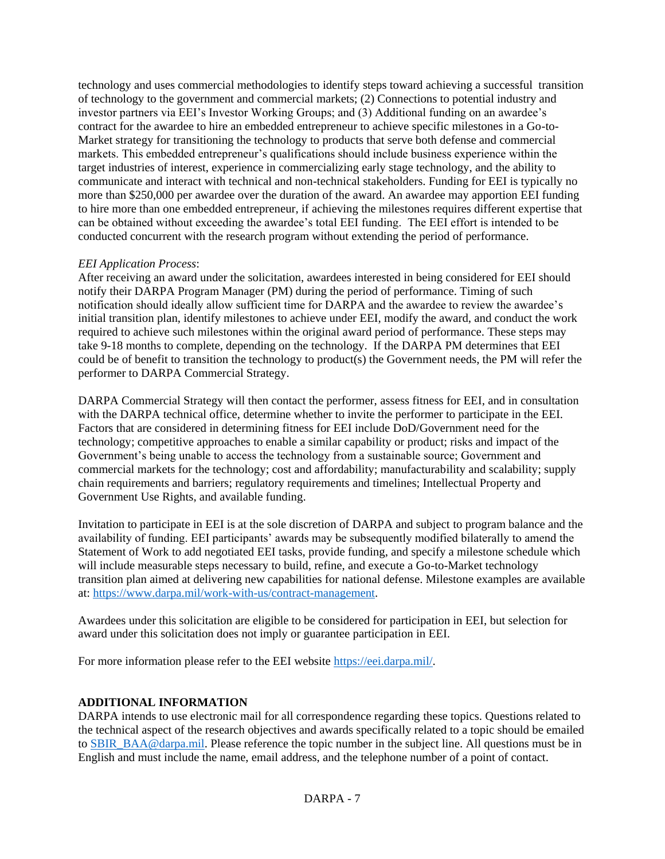technology and uses commercial methodologies to identify steps toward achieving a successful transition of technology to the government and commercial markets; (2) Connections to potential industry and investor partners via EEI's Investor Working Groups; and (3) Additional funding on an awardee's contract for the awardee to hire an embedded entrepreneur to achieve specific milestones in a Go-to-Market strategy for transitioning the technology to products that serve both defense and commercial markets. This embedded entrepreneur's qualifications should include business experience within the target industries of interest, experience in commercializing early stage technology, and the ability to communicate and interact with technical and non-technical stakeholders. Funding for EEI is typically no more than \$250,000 per awardee over the duration of the award. An awardee may apportion EEI funding to hire more than one embedded entrepreneur, if achieving the milestones requires different expertise that can be obtained without exceeding the awardee's total EEI funding. The EEI effort is intended to be conducted concurrent with the research program without extending the period of performance.

## *EEI Application Process*:

After receiving an award under the solicitation, awardees interested in being considered for EEI should notify their DARPA Program Manager (PM) during the period of performance. Timing of such notification should ideally allow sufficient time for DARPA and the awardee to review the awardee's initial transition plan, identify milestones to achieve under EEI, modify the award, and conduct the work required to achieve such milestones within the original award period of performance. These steps may take 9-18 months to complete, depending on the technology. If the DARPA PM determines that EEI could be of benefit to transition the technology to product(s) the Government needs, the PM will refer the performer to DARPA Commercial Strategy.

DARPA Commercial Strategy will then contact the performer, assess fitness for EEI, and in consultation with the DARPA technical office, determine whether to invite the performer to participate in the EEI. Factors that are considered in determining fitness for EEI include DoD/Government need for the technology; competitive approaches to enable a similar capability or product; risks and impact of the Government's being unable to access the technology from a sustainable source; Government and commercial markets for the technology; cost and affordability; manufacturability and scalability; supply chain requirements and barriers; regulatory requirements and timelines; Intellectual Property and Government Use Rights, and available funding.

Invitation to participate in EEI is at the sole discretion of DARPA and subject to program balance and the availability of funding. EEI participants' awards may be subsequently modified bilaterally to amend the Statement of Work to add negotiated EEI tasks, provide funding, and specify a milestone schedule which will include measurable steps necessary to build, refine, and execute a Go-to-Market technology transition plan aimed at delivering new capabilities for national defense. Milestone examples are available at: [https://www.darpa.mil/work-with-us/contract-management.](https://www.darpa.mil/work-with-us/contract-management)

Awardees under this solicitation are eligible to be considered for participation in EEI, but selection for award under this solicitation does not imply or guarantee participation in EEI.

For more information please refer to the EEI website [https://eei.darpa.mil/.](https://eei.darpa.mil/)

### **ADDITIONAL INFORMATION**

DARPA intends to use electronic mail for all correspondence regarding these topics. Questions related to the technical aspect of the research objectives and awards specifically related to a topic should be emailed to [SBIR\\_BAA@darpa.mil.](mailto:SBIR_BAA@darpa.mil) Please reference the topic number in the subject line. All questions must be in English and must include the name, email address, and the telephone number of a point of contact.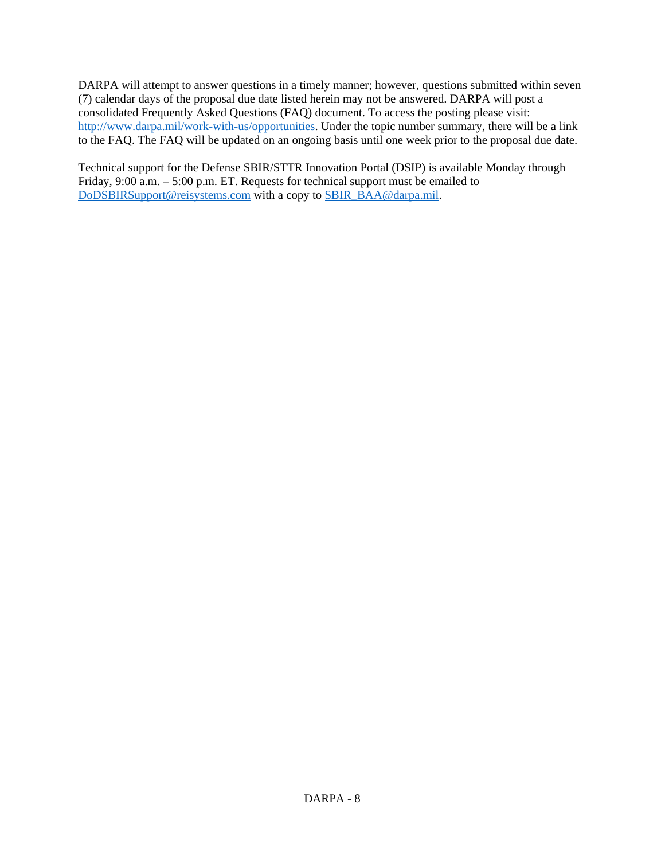DARPA will attempt to answer questions in a timely manner; however, questions submitted within seven (7) calendar days of the proposal due date listed herein may not be answered. DARPA will post a consolidated Frequently Asked Questions (FAQ) document. To access the posting please visit: [http://www.darpa.mil/work-with-us/opportunities.](http://www.darpa.mil/work-with-us/opportunities) Under the topic number summary, there will be a link to the FAQ. The FAQ will be updated on an ongoing basis until one week prior to the proposal due date.

Technical support for the Defense SBIR/STTR Innovation Portal (DSIP) is available Monday through Friday, 9:00 a.m. – 5:00 p.m. ET. Requests for technical support must be emailed to [DoDSBIRSupport@reisystems.com](mailto:DoDSBIRSupport@reisystems.com) with a copy to [SBIR\\_BAA@darpa.mil.](mailto:SBIR_BAA@darpa.mil)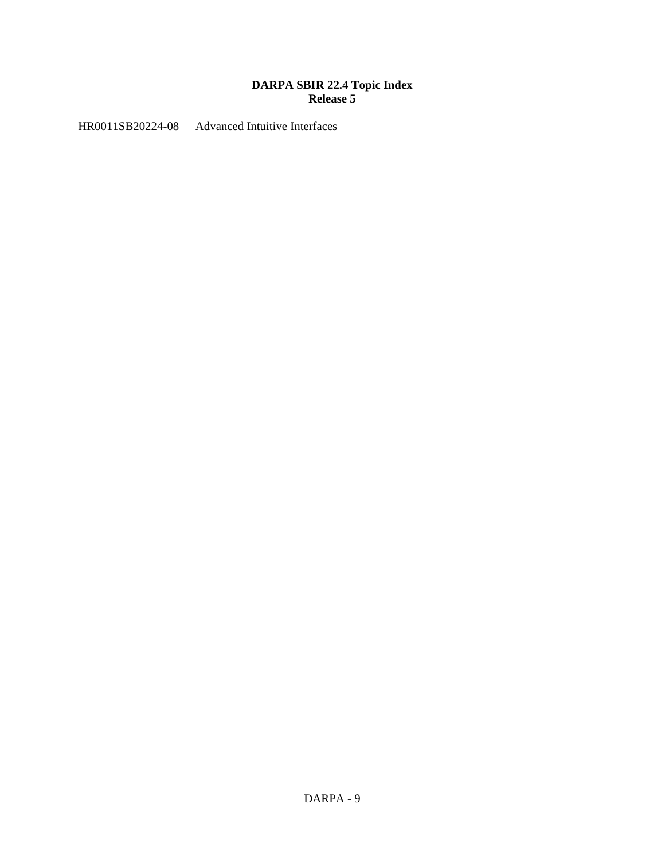## **DARPA SBIR 22.4 Topic Index Release 5**

HR0011SB20224-08 Advanced Intuitive Interfaces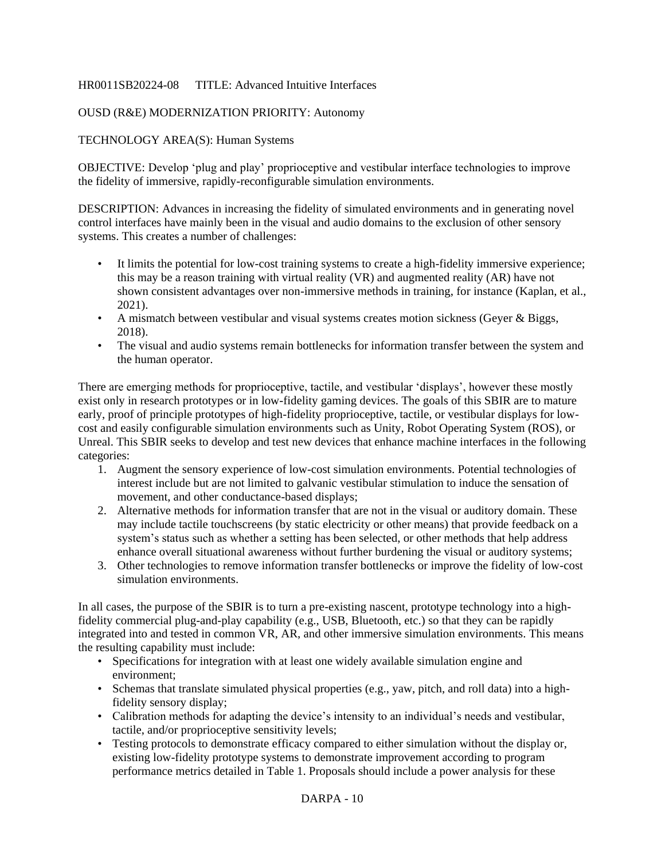## HR0011SB20224-08 TITLE: Advanced Intuitive Interfaces

## OUSD (R&E) MODERNIZATION PRIORITY: Autonomy

## TECHNOLOGY AREA(S): Human Systems

OBJECTIVE: Develop 'plug and play' proprioceptive and vestibular interface technologies to improve the fidelity of immersive, rapidly-reconfigurable simulation environments.

DESCRIPTION: Advances in increasing the fidelity of simulated environments and in generating novel control interfaces have mainly been in the visual and audio domains to the exclusion of other sensory systems. This creates a number of challenges:

- It limits the potential for low-cost training systems to create a high-fidelity immersive experience; this may be a reason training with virtual reality (VR) and augmented reality (AR) have not shown consistent advantages over non-immersive methods in training, for instance (Kaplan, et al., 2021).
- A mismatch between vestibular and visual systems creates motion sickness (Geyer & Biggs, 2018).
- The visual and audio systems remain bottlenecks for information transfer between the system and the human operator.

There are emerging methods for proprioceptive, tactile, and vestibular 'displays', however these mostly exist only in research prototypes or in low-fidelity gaming devices. The goals of this SBIR are to mature early, proof of principle prototypes of high-fidelity proprioceptive, tactile, or vestibular displays for lowcost and easily configurable simulation environments such as Unity, Robot Operating System (ROS), or Unreal. This SBIR seeks to develop and test new devices that enhance machine interfaces in the following categories:

- 1. Augment the sensory experience of low-cost simulation environments. Potential technologies of interest include but are not limited to galvanic vestibular stimulation to induce the sensation of movement, and other conductance-based displays;
- 2. Alternative methods for information transfer that are not in the visual or auditory domain. These may include tactile touchscreens (by static electricity or other means) that provide feedback on a system's status such as whether a setting has been selected, or other methods that help address enhance overall situational awareness without further burdening the visual or auditory systems;
- 3. Other technologies to remove information transfer bottlenecks or improve the fidelity of low-cost simulation environments.

In all cases, the purpose of the SBIR is to turn a pre-existing nascent, prototype technology into a highfidelity commercial plug-and-play capability (e.g., USB, Bluetooth, etc.) so that they can be rapidly integrated into and tested in common VR, AR, and other immersive simulation environments. This means the resulting capability must include:

- Specifications for integration with at least one widely available simulation engine and environment;
- Schemas that translate simulated physical properties (e.g., yaw, pitch, and roll data) into a highfidelity sensory display;
- Calibration methods for adapting the device's intensity to an individual's needs and vestibular, tactile, and/or proprioceptive sensitivity levels;
- Testing protocols to demonstrate efficacy compared to either simulation without the display or, existing low-fidelity prototype systems to demonstrate improvement according to program performance metrics detailed in Table 1. Proposals should include a power analysis for these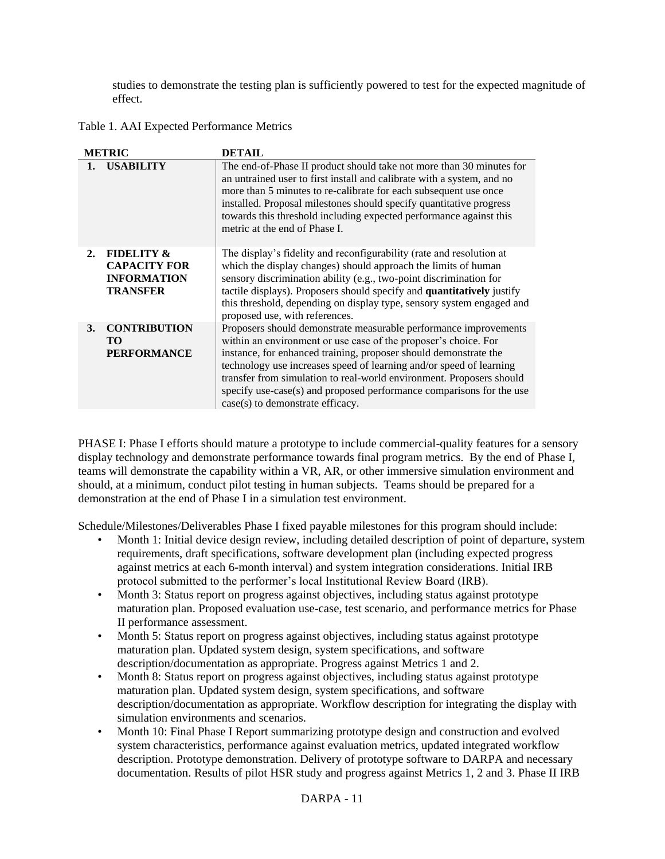studies to demonstrate the testing plan is sufficiently powered to test for the expected magnitude of effect.

Table 1. AAI Expected Performance Metrics

|                | <b>METRIC</b>                                                                         | <b>DETAIL</b>                                                                                                                                                                                                                                                                                                                                                                                                                                                      |
|----------------|---------------------------------------------------------------------------------------|--------------------------------------------------------------------------------------------------------------------------------------------------------------------------------------------------------------------------------------------------------------------------------------------------------------------------------------------------------------------------------------------------------------------------------------------------------------------|
| $\mathbf{1}$ . | <b>USABILITY</b>                                                                      | The end-of-Phase II product should take not more than 30 minutes for<br>an untrained user to first install and calibrate with a system, and no<br>more than 5 minutes to re-calibrate for each subsequent use once<br>installed. Proposal milestones should specify quantitative progress<br>towards this threshold including expected performance against this<br>metric at the end of Phase I.                                                                   |
| 2.             | <b>FIDELITY &amp;</b><br><b>CAPACITY FOR</b><br><b>INFORMATION</b><br><b>TRANSFER</b> | The display's fidelity and reconfigurability (rate and resolution at<br>which the display changes) should approach the limits of human<br>sensory discrimination ability (e.g., two-point discrimination for<br>tactile displays). Proposers should specify and <b>quantitatively</b> justify<br>this threshold, depending on display type, sensory system engaged and<br>proposed use, with references.                                                           |
| 3.             | <b>CONTRIBUTION</b><br>TO.<br><b>PERFORMANCE</b>                                      | Proposers should demonstrate measurable performance improvements<br>within an environment or use case of the proposer's choice. For<br>instance, for enhanced training, proposer should demonstrate the<br>technology use increases speed of learning and/or speed of learning<br>transfer from simulation to real-world environment. Proposers should<br>specify use-case(s) and proposed performance comparisons for the use<br>case(s) to demonstrate efficacy. |

PHASE I: Phase I efforts should mature a prototype to include commercial-quality features for a sensory display technology and demonstrate performance towards final program metrics. By the end of Phase I, teams will demonstrate the capability within a VR, AR, or other immersive simulation environment and should, at a minimum, conduct pilot testing in human subjects. Teams should be prepared for a demonstration at the end of Phase I in a simulation test environment.

Schedule/Milestones/Deliverables Phase I fixed payable milestones for this program should include:

- Month 1: Initial device design review, including detailed description of point of departure, system requirements, draft specifications, software development plan (including expected progress against metrics at each 6-month interval) and system integration considerations. Initial IRB protocol submitted to the performer's local Institutional Review Board (IRB).
- Month 3: Status report on progress against objectives, including status against prototype maturation plan. Proposed evaluation use-case, test scenario, and performance metrics for Phase II performance assessment.
- Month 5: Status report on progress against objectives, including status against prototype maturation plan. Updated system design, system specifications, and software description/documentation as appropriate. Progress against Metrics 1 and 2.
- Month 8: Status report on progress against objectives, including status against prototype maturation plan. Updated system design, system specifications, and software description/documentation as appropriate. Workflow description for integrating the display with simulation environments and scenarios.
- Month 10: Final Phase I Report summarizing prototype design and construction and evolved system characteristics, performance against evaluation metrics, updated integrated workflow description. Prototype demonstration. Delivery of prototype software to DARPA and necessary documentation. Results of pilot HSR study and progress against Metrics 1, 2 and 3. Phase II IRB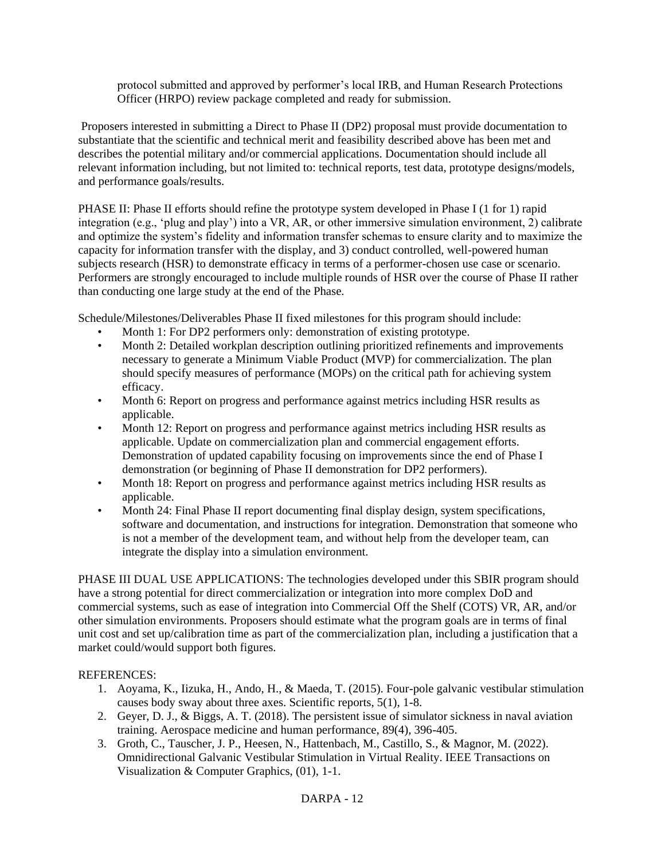protocol submitted and approved by performer's local IRB, and Human Research Protections Officer (HRPO) review package completed and ready for submission.

Proposers interested in submitting a Direct to Phase II (DP2) proposal must provide documentation to substantiate that the scientific and technical merit and feasibility described above has been met and describes the potential military and/or commercial applications. Documentation should include all relevant information including, but not limited to: technical reports, test data, prototype designs/models, and performance goals/results.

PHASE II: Phase II efforts should refine the prototype system developed in Phase I (1 for 1) rapid integration (e.g., 'plug and play') into a VR, AR, or other immersive simulation environment, 2) calibrate and optimize the system's fidelity and information transfer schemas to ensure clarity and to maximize the capacity for information transfer with the display, and 3) conduct controlled, well-powered human subjects research (HSR) to demonstrate efficacy in terms of a performer-chosen use case or scenario. Performers are strongly encouraged to include multiple rounds of HSR over the course of Phase II rather than conducting one large study at the end of the Phase.

Schedule/Milestones/Deliverables Phase II fixed milestones for this program should include:

- Month 1: For DP2 performers only: demonstration of existing prototype.
- Month 2: Detailed workplan description outlining prioritized refinements and improvements necessary to generate a Minimum Viable Product (MVP) for commercialization. The plan should specify measures of performance (MOPs) on the critical path for achieving system efficacy.
- Month 6: Report on progress and performance against metrics including HSR results as applicable.
- Month 12: Report on progress and performance against metrics including HSR results as applicable. Update on commercialization plan and commercial engagement efforts. Demonstration of updated capability focusing on improvements since the end of Phase I demonstration (or beginning of Phase II demonstration for DP2 performers).
- Month 18: Report on progress and performance against metrics including HSR results as applicable.
- Month 24: Final Phase II report documenting final display design, system specifications, software and documentation, and instructions for integration. Demonstration that someone who is not a member of the development team, and without help from the developer team, can integrate the display into a simulation environment.

PHASE III DUAL USE APPLICATIONS: The technologies developed under this SBIR program should have a strong potential for direct commercialization or integration into more complex DoD and commercial systems, such as ease of integration into Commercial Off the Shelf (COTS) VR, AR, and/or other simulation environments. Proposers should estimate what the program goals are in terms of final unit cost and set up/calibration time as part of the commercialization plan, including a justification that a market could/would support both figures.

## REFERENCES:

- 1. Aoyama, K., Iizuka, H., Ando, H., & Maeda, T. (2015). Four-pole galvanic vestibular stimulation causes body sway about three axes. Scientific reports, 5(1), 1-8.
- 2. Geyer, D. J., & Biggs, A. T. (2018). The persistent issue of simulator sickness in naval aviation training. Aerospace medicine and human performance, 89(4), 396-405.
- 3. Groth, C., Tauscher, J. P., Heesen, N., Hattenbach, M., Castillo, S., & Magnor, M. (2022). Omnidirectional Galvanic Vestibular Stimulation in Virtual Reality. IEEE Transactions on Visualization & Computer Graphics, (01), 1-1.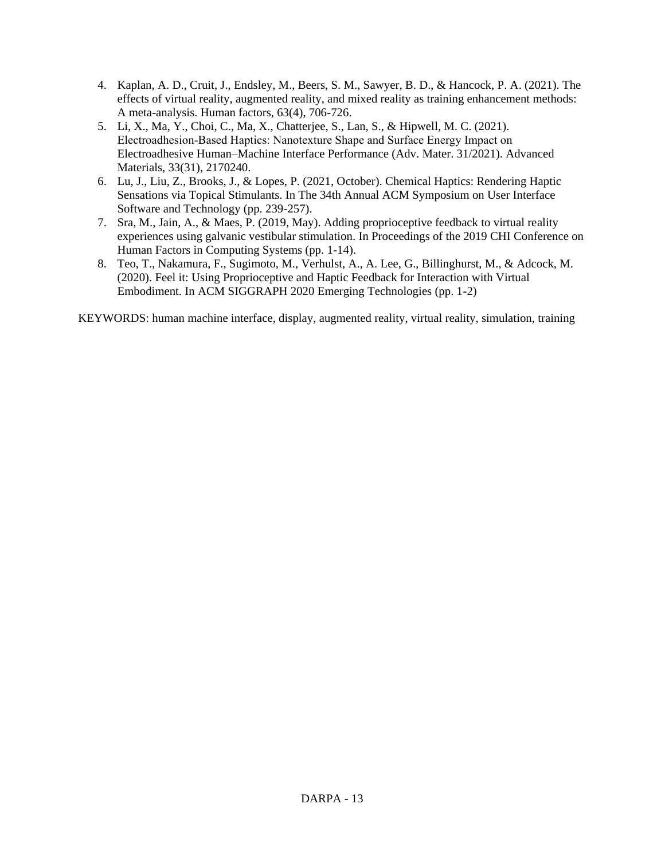- 4. Kaplan, A. D., Cruit, J., Endsley, M., Beers, S. M., Sawyer, B. D., & Hancock, P. A. (2021). The effects of virtual reality, augmented reality, and mixed reality as training enhancement methods: A meta-analysis. Human factors, 63(4), 706-726.
- 5. Li, X., Ma, Y., Choi, C., Ma, X., Chatterjee, S., Lan, S., & Hipwell, M. C. (2021). Electroadhesion‐Based Haptics: Nanotexture Shape and Surface Energy Impact on Electroadhesive Human–Machine Interface Performance (Adv. Mater. 31/2021). Advanced Materials, 33(31), 2170240.
- 6. Lu, J., Liu, Z., Brooks, J., & Lopes, P. (2021, October). Chemical Haptics: Rendering Haptic Sensations via Topical Stimulants. In The 34th Annual ACM Symposium on User Interface Software and Technology (pp. 239-257).
- 7. Sra, M., Jain, A., & Maes, P. (2019, May). Adding proprioceptive feedback to virtual reality experiences using galvanic vestibular stimulation. In Proceedings of the 2019 CHI Conference on Human Factors in Computing Systems (pp. 1-14).
- 8. Teo, T., Nakamura, F., Sugimoto, M., Verhulst, A., A. Lee, G., Billinghurst, M., & Adcock, M. (2020). Feel it: Using Proprioceptive and Haptic Feedback for Interaction with Virtual Embodiment. In ACM SIGGRAPH 2020 Emerging Technologies (pp. 1-2)

KEYWORDS: human machine interface, display, augmented reality, virtual reality, simulation, training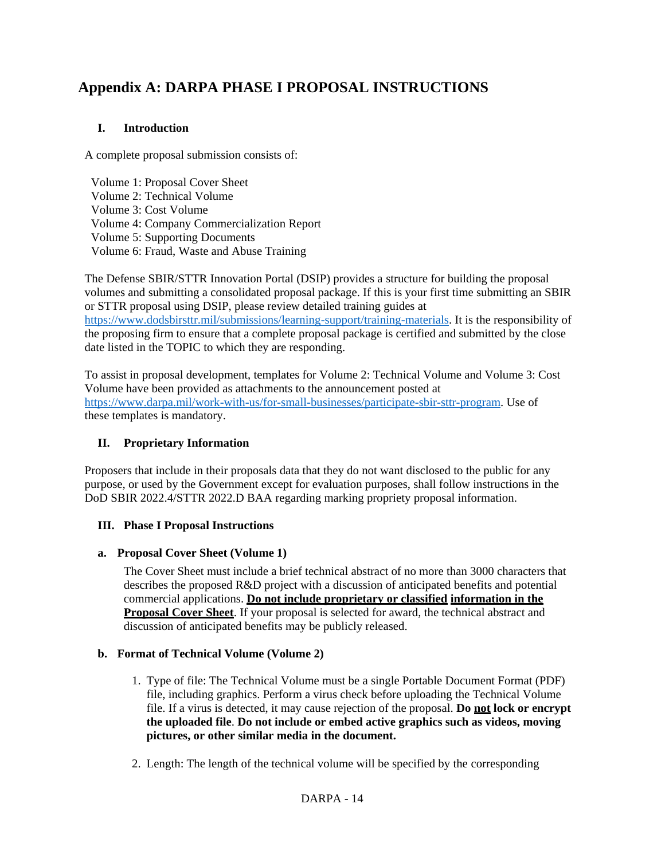# **Appendix A: DARPA PHASE I PROPOSAL INSTRUCTIONS**

# **I. Introduction**

A complete proposal submission consists of:

Volume 1: Proposal Cover Sheet Volume 2: Technical Volume Volume 3: Cost Volume Volume 4: Company Commercialization Report Volume 5: Supporting Documents Volume 6: Fraud, Waste and Abuse Training

The Defense SBIR/STTR Innovation Portal (DSIP) provides a structure for building the proposal volumes and submitting a consolidated proposal package. If this is your first time submitting an SBIR or STTR proposal using DSIP, please review detailed training guides at [https://www.dodsbirsttr.mil/submissions/learning-support/training-materials.](https://www.dodsbirsttr.mil/submissions/learning-support/training-materials) It is the responsibility of the proposing firm to ensure that a complete proposal package is certified and submitted by the close date listed in the TOPIC to which they are responding.

To assist in proposal development, templates for Volume 2: Technical Volume and Volume 3: Cost Volume have been provided as attachments to the announcement posted at [https://www.darpa.mil/work-with-us/for-small-businesses/participate-sbir-sttr-program.](https://www.darpa.mil/work-with-us/for-small-businesses/participate-sbir-sttr-program) Use of these templates is mandatory.

# **II. Proprietary Information**

Proposers that include in their proposals data that they do not want disclosed to the public for any purpose, or used by the Government except for evaluation purposes, shall follow instructions in the DoD SBIR 2022.4/STTR 2022.D BAA regarding marking propriety proposal information.

# **III. Phase I Proposal Instructions**

## **a. Proposal Cover Sheet (Volume 1)**

The Cover Sheet must include a brief technical abstract of no more than 3000 characters that describes the proposed R&D project with a discussion of anticipated benefits and potential commercial applications. **Do not include proprietary or classified information in the Proposal Cover Sheet**. If your proposal is selected for award, the technical abstract and discussion of anticipated benefits may be publicly released.

# **b. Format of Technical Volume (Volume 2)**

- 1. Type of file: The Technical Volume must be a single Portable Document Format (PDF) file, including graphics. Perform a virus check before uploading the Technical Volume file. If a virus is detected, it may cause rejection of the proposal. **Do not lock or encrypt the uploaded file**. **Do not include or embed active graphics such as videos, moving pictures, or other similar media in the document.**
- 2. Length: The length of the technical volume will be specified by the corresponding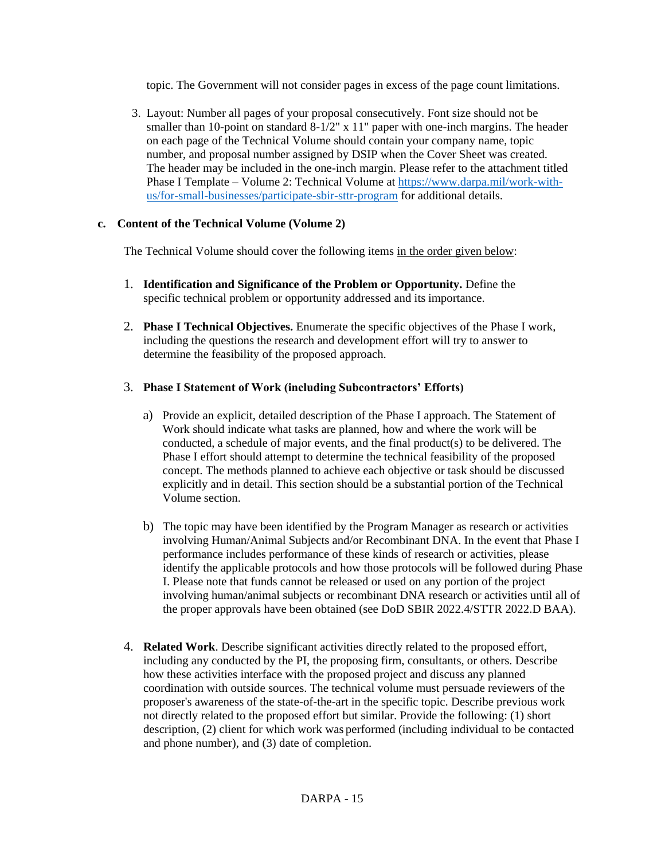topic. The Government will not consider pages in excess of the page count limitations.

3. Layout: Number all pages of your proposal consecutively. Font size should not be smaller than 10-point on standard  $8-1/2$ " x 11" paper with one-inch margins. The header on each page of the Technical Volume should contain your company name, topic number, and proposal number assigned by DSIP when the Cover Sheet was created. The header may be included in the one-inch margin. Please refer to the attachment titled Phase I Template – Volume 2: Technical Volume at [https://www.darpa.mil/work-with](https://www.darpa.mil/work-with-us/for-small-businesses/participate-sbir-sttr-program)[us/for-small-businesses/participate-sbir-sttr-program](https://www.darpa.mil/work-with-us/for-small-businesses/participate-sbir-sttr-program) for additional details.

## **c. Content of the Technical Volume (Volume 2)**

The Technical Volume should cover the following items in the order given below:

- 1. **Identification and Significance of the Problem or Opportunity.** Define the specific technical problem or opportunity addressed and its importance.
- 2. **Phase I Technical Objectives.** Enumerate the specific objectives of the Phase I work, including the questions the research and development effort will try to answer to determine the feasibility of the proposed approach.

# 3. **Phase I Statement of Work (including Subcontractors' Efforts)**

- a) Provide an explicit, detailed description of the Phase I approach. The Statement of Work should indicate what tasks are planned, how and where the work will be conducted, a schedule of major events, and the final product(s) to be delivered. The Phase I effort should attempt to determine the technical feasibility of the proposed concept. The methods planned to achieve each objective or task should be discussed explicitly and in detail. This section should be a substantial portion of the Technical Volume section.
- b) The topic may have been identified by the Program Manager as research or activities involving Human/Animal Subjects and/or Recombinant DNA. In the event that Phase I performance includes performance of these kinds of research or activities, please identify the applicable protocols and how those protocols will be followed during Phase I. Please note that funds cannot be released or used on any portion of the project involving human/animal subjects or recombinant DNA research or activities until all of the proper approvals have been obtained (see DoD SBIR 2022.4/STTR 2022.D BAA).
- 4. **Related Work**. Describe significant activities directly related to the proposed effort, including any conducted by the PI, the proposing firm, consultants, or others. Describe how these activities interface with the proposed project and discuss any planned coordination with outside sources. The technical volume must persuade reviewers of the proposer's awareness of the state-of-the-art in the specific topic. Describe previous work not directly related to the proposed effort but similar. Provide the following: (1) short description, (2) client for which work was performed (including individual to be contacted and phone number), and (3) date of completion.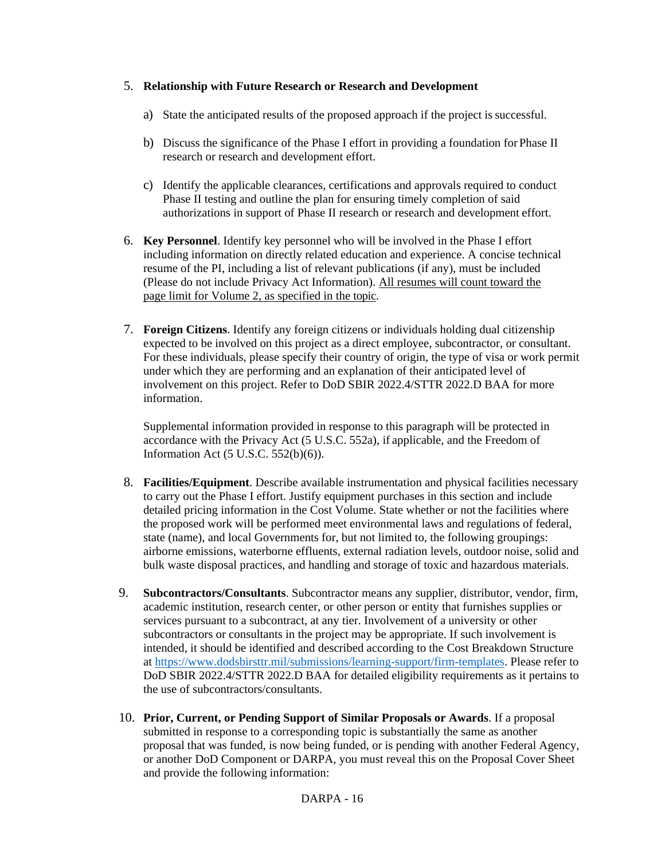## 5. **Relationship with Future Research or Research and Development**

- a) State the anticipated results of the proposed approach if the project is successful.
- b) Discuss the significance of the Phase I effort in providing a foundation for Phase II research or research and development effort.
- c) Identify the applicable clearances, certifications and approvals required to conduct Phase II testing and outline the plan for ensuring timely completion of said authorizations in support of Phase II research or research and development effort.
- 6. **Key Personnel**. Identify key personnel who will be involved in the Phase I effort including information on directly related education and experience. A concise technical resume of the PI, including a list of relevant publications (if any), must be included (Please do not include Privacy Act Information). All resumes will count toward the page limit for Volume 2, as specified in the topic.
- 7. **Foreign Citizens**. Identify any foreign citizens or individuals holding dual citizenship expected to be involved on this project as a direct employee, subcontractor, or consultant. For these individuals, please specify their country of origin, the type of visa or work permit under which they are performing and an explanation of their anticipated level of involvement on this project. Refer to DoD SBIR 2022.4/STTR 2022.D BAA for more information.

Supplemental information provided in response to this paragraph will be protected in accordance with the Privacy Act (5 U.S.C. 552a), if applicable, and the Freedom of Information Act (5 U.S.C. 552(b)(6)).

- 8. **Facilities/Equipment**. Describe available instrumentation and physical facilities necessary to carry out the Phase I effort. Justify equipment purchases in this section and include detailed pricing information in the Cost Volume. State whether or not the facilities where the proposed work will be performed meet environmental laws and regulations of federal, state (name), and local Governments for, but not limited to, the following groupings: airborne emissions, waterborne effluents, external radiation levels, outdoor noise, solid and bulk waste disposal practices, and handling and storage of toxic and hazardous materials.
- 9. **Subcontractors/Consultants**. Subcontractor means any supplier, distributor, vendor, firm, academic institution, research center, or other person or entity that furnishes supplies or services pursuant to a subcontract, at any tier. Involvement of a university or other subcontractors or consultants in the project may be appropriate. If such involvement is intended, it should be identified and described according to the Cost Breakdown Structure at [https://www.dodsbirsttr.mil/submissions/learning-support/firm-templates.](https://www.dodsbirsttr.mil/submissions/learning-support/firm-templates) Please refer to DoD SBIR 2022.4/STTR 2022.D BAA for detailed eligibility requirements as it pertains to the use of subcontractors/consultants.
- 10. **Prior, Current, or Pending Support of Similar Proposals or Awards**. If a proposal submitted in response to a corresponding topic is substantially the same as another proposal that was funded, is now being funded, or is pending with another Federal Agency, or another DoD Component or DARPA, you must reveal this on the Proposal Cover Sheet and provide the following information: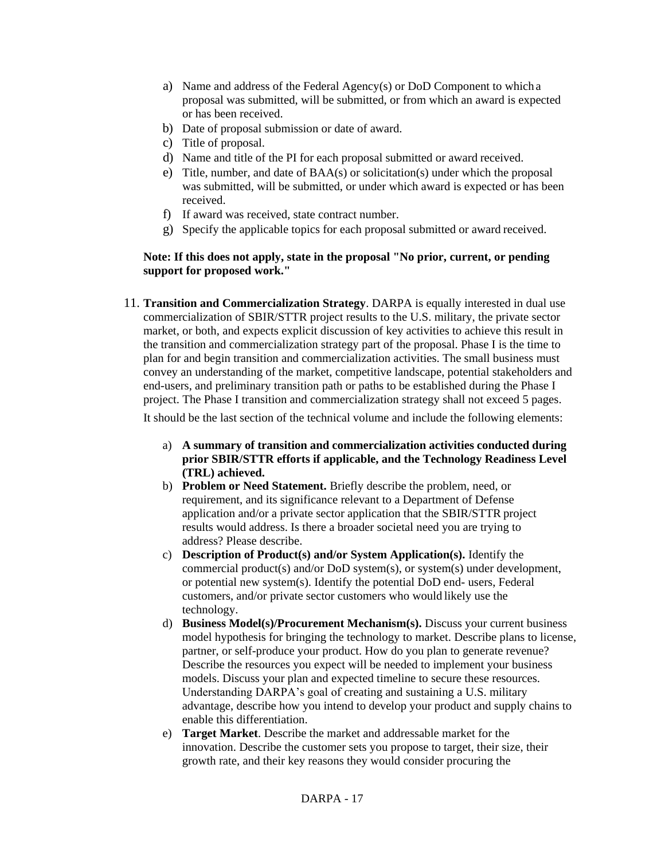- a) Name and address of the Federal Agency(s) or DoD Component to which a proposal was submitted, will be submitted, or from which an award is expected or has been received.
- b) Date of proposal submission or date of award.
- c) Title of proposal.
- d) Name and title of the PI for each proposal submitted or award received.
- e) Title, number, and date of BAA(s) or solicitation(s) under which the proposal was submitted, will be submitted, or under which award is expected or has been received.
- f) If award was received, state contract number.
- g) Specify the applicable topics for each proposal submitted or award received.

## **Note: If this does not apply, state in the proposal "No prior, current, or pending support for proposed work."**

11. **Transition and Commercialization Strategy**. DARPA is equally interested in dual use commercialization of SBIR/STTR project results to the U.S. military, the private sector market, or both, and expects explicit discussion of key activities to achieve this result in the transition and commercialization strategy part of the proposal. Phase I is the time to plan for and begin transition and commercialization activities. The small business must convey an understanding of the market, competitive landscape, potential stakeholders and end-users, and preliminary transition path or paths to be established during the Phase I project. The Phase I transition and commercialization strategy shall not exceed 5 pages.

It should be the last section of the technical volume and include the following elements:

- a) **A summary of transition and commercialization activities conducted during prior SBIR/STTR efforts if applicable, and the Technology Readiness Level (TRL) achieved.**
- b) **Problem or Need Statement.** Briefly describe the problem, need, or requirement, and its significance relevant to a Department of Defense application and/or a private sector application that the SBIR/STTR project results would address. Is there a broader societal need you are trying to address? Please describe.
- c) **Description of Product(s) and/or System Application(s).** Identify the commercial product(s) and/or DoD system(s), or system(s) under development, or potential new system(s). Identify the potential DoD end- users, Federal customers, and/or private sector customers who would likely use the technology.
- d) **Business Model(s)/Procurement Mechanism(s).** Discuss your current business model hypothesis for bringing the technology to market. Describe plans to license, partner, or self-produce your product. How do you plan to generate revenue? Describe the resources you expect will be needed to implement your business models. Discuss your plan and expected timeline to secure these resources. Understanding DARPA's goal of creating and sustaining a U.S. military advantage, describe how you intend to develop your product and supply chains to enable this differentiation.
- e) **Target Market**. Describe the market and addressable market for the innovation. Describe the customer sets you propose to target, their size, their growth rate, and their key reasons they would consider procuring the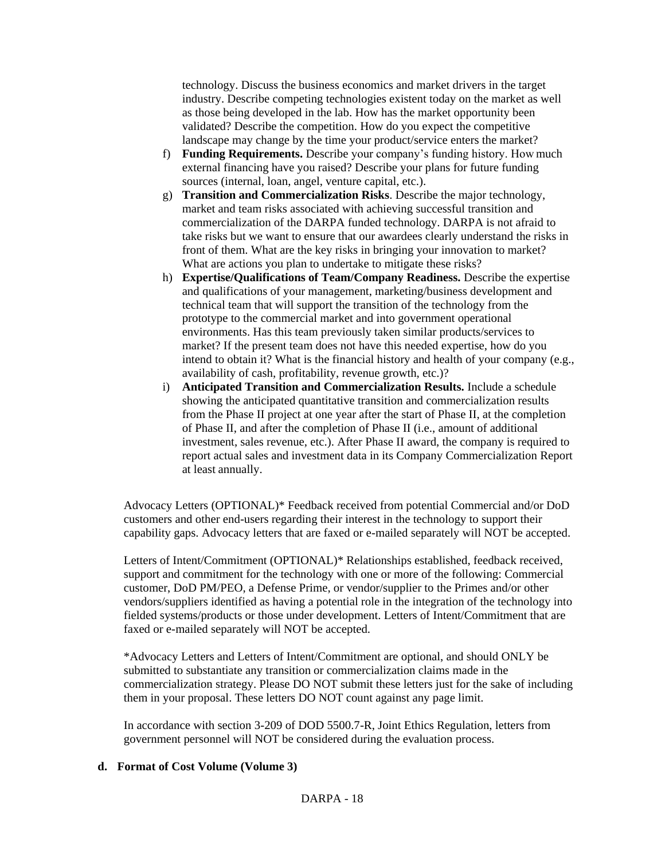technology. Discuss the business economics and market drivers in the target industry. Describe competing technologies existent today on the market as well as those being developed in the lab. How has the market opportunity been validated? Describe the competition. How do you expect the competitive landscape may change by the time your product/service enters the market?

- f) **Funding Requirements.** Describe your company's funding history. How much external financing have you raised? Describe your plans for future funding sources (internal, loan, angel, venture capital, etc.).
- g) **Transition and Commercialization Risks**. Describe the major technology, market and team risks associated with achieving successful transition and commercialization of the DARPA funded technology. DARPA is not afraid to take risks but we want to ensure that our awardees clearly understand the risks in front of them. What are the key risks in bringing your innovation to market? What are actions you plan to undertake to mitigate these risks?
- h) **Expertise/Qualifications of Team/Company Readiness.** Describe the expertise and qualifications of your management, marketing/business development and technical team that will support the transition of the technology from the prototype to the commercial market and into government operational environments. Has this team previously taken similar products/services to market? If the present team does not have this needed expertise, how do you intend to obtain it? What is the financial history and health of your company (e.g., availability of cash, profitability, revenue growth, etc.)?
- i) **Anticipated Transition and Commercialization Results.** Include a schedule showing the anticipated quantitative transition and commercialization results from the Phase II project at one year after the start of Phase II, at the completion of Phase II, and after the completion of Phase II (i.e., amount of additional investment, sales revenue, etc.). After Phase II award, the company is required to report actual sales and investment data in its Company Commercialization Report at least annually.

Advocacy Letters (OPTIONAL)\* Feedback received from potential Commercial and/or DoD customers and other end-users regarding their interest in the technology to support their capability gaps. Advocacy letters that are faxed or e-mailed separately will NOT be accepted.

Letters of Intent/Commitment (OPTIONAL)\* Relationships established, feedback received, support and commitment for the technology with one or more of the following: Commercial customer, DoD PM/PEO, a Defense Prime, or vendor/supplier to the Primes and/or other vendors/suppliers identified as having a potential role in the integration of the technology into fielded systems/products or those under development. Letters of Intent/Commitment that are faxed or e-mailed separately will NOT be accepted.

\*Advocacy Letters and Letters of Intent/Commitment are optional, and should ONLY be submitted to substantiate any transition or commercialization claims made in the commercialization strategy. Please DO NOT submit these letters just for the sake of including them in your proposal. These letters DO NOT count against any page limit.

In accordance with section 3-209 of DOD 5500.7-R, Joint Ethics Regulation, letters from government personnel will NOT be considered during the evaluation process.

## **d. Format of Cost Volume (Volume 3)**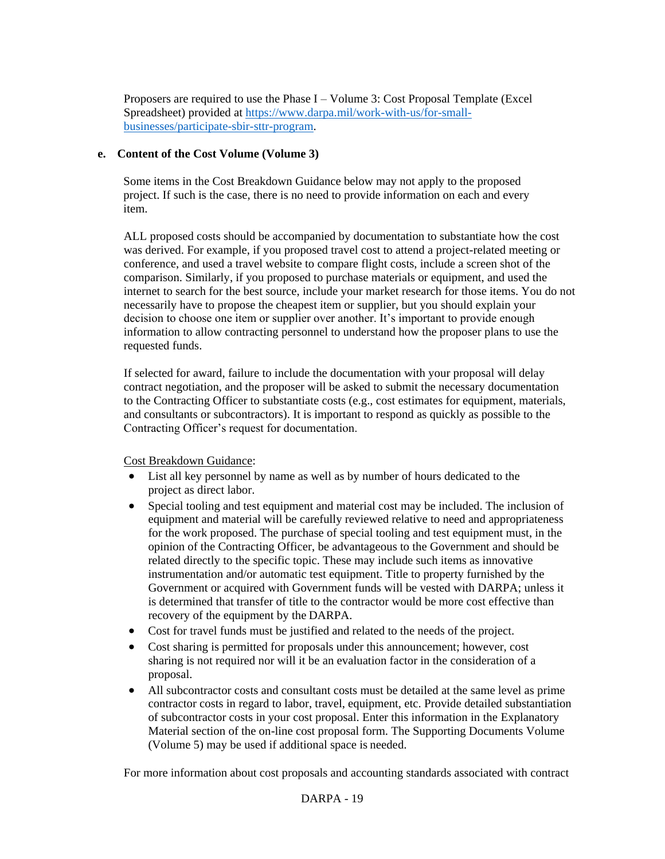Proposers are required to use the Phase I – Volume 3: Cost Proposal Template (Excel Spreadsheet) provided at [https://www.darpa.mil/work-with-us/for-small](https://www.darpa.mil/work-with-us/for-small-businesses/participate-sbir-sttr-program)[businesses/participate-sbir-sttr-program.](https://www.darpa.mil/work-with-us/for-small-businesses/participate-sbir-sttr-program)

## **e. Content of the Cost Volume (Volume 3)**

Some items in the Cost Breakdown Guidance below may not apply to the proposed project. If such is the case, there is no need to provide information on each and every item.

ALL proposed costs should be accompanied by documentation to substantiate how the cost was derived. For example, if you proposed travel cost to attend a project-related meeting or conference, and used a travel website to compare flight costs, include a screen shot of the comparison. Similarly, if you proposed to purchase materials or equipment, and used the internet to search for the best source, include your market research for those items. You do not necessarily have to propose the cheapest item or supplier, but you should explain your decision to choose one item or supplier over another. It's important to provide enough information to allow contracting personnel to understand how the proposer plans to use the requested funds.

If selected for award, failure to include the documentation with your proposal will delay contract negotiation, and the proposer will be asked to submit the necessary documentation to the Contracting Officer to substantiate costs (e.g., cost estimates for equipment, materials, and consultants or subcontractors). It is important to respond as quickly as possible to the Contracting Officer's request for documentation.

Cost Breakdown Guidance:

- List all key personnel by name as well as by number of hours dedicated to the project as direct labor.
- Special tooling and test equipment and material cost may be included. The inclusion of equipment and material will be carefully reviewed relative to need and appropriateness for the work proposed. The purchase of special tooling and test equipment must, in the opinion of the Contracting Officer, be advantageous to the Government and should be related directly to the specific topic. These may include such items as innovative instrumentation and/or automatic test equipment. Title to property furnished by the Government or acquired with Government funds will be vested with DARPA; unless it is determined that transfer of title to the contractor would be more cost effective than recovery of the equipment by the DARPA.
- Cost for travel funds must be justified and related to the needs of the project.
- Cost sharing is permitted for proposals under this announcement; however, cost sharing is not required nor will it be an evaluation factor in the consideration of a proposal.
- All subcontractor costs and consultant costs must be detailed at the same level as prime contractor costs in regard to labor, travel, equipment, etc. Provide detailed substantiation of subcontractor costs in your cost proposal. Enter this information in the Explanatory Material section of the on-line cost proposal form. The Supporting Documents Volume (Volume 5) may be used if additional space is needed.

For more information about cost proposals and accounting standards associated with contract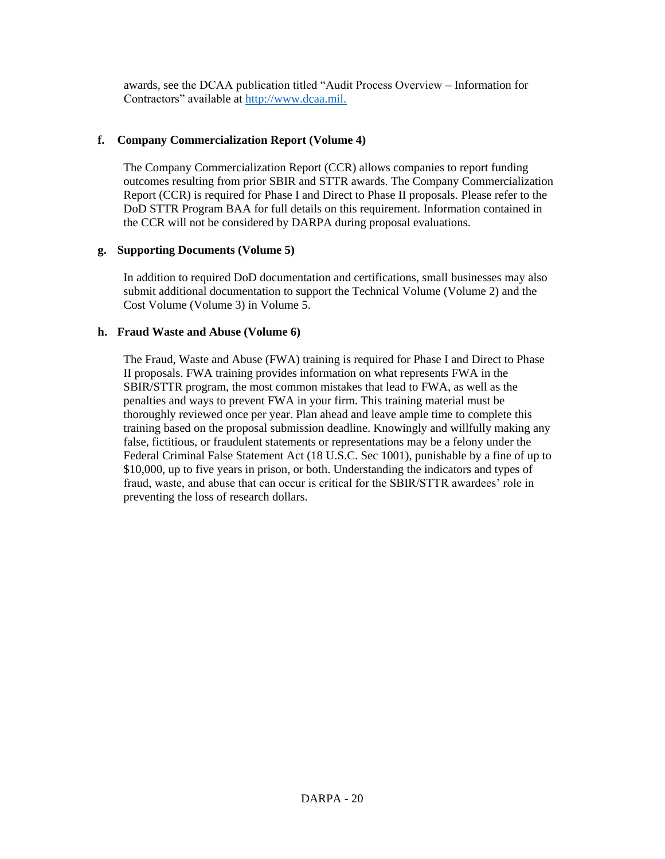awards, see the DCAA publication titled "Audit Process Overview – Information for Contractors" available at http://www.dcaa.mil.

## **f. Company Commercialization Report (Volume 4)**

The Company Commercialization Report (CCR) allows companies to report funding outcomes resulting from prior SBIR and STTR awards. The Company Commercialization Report (CCR) is required for Phase I and Direct to Phase II proposals. Please refer to the DoD STTR Program BAA for full details on this requirement. Information contained in the CCR will not be considered by DARPA during proposal evaluations.

### **g. Supporting Documents (Volume 5)**

In addition to required DoD documentation and certifications, small businesses may also submit additional documentation to support the Technical Volume (Volume 2) and the Cost Volume (Volume 3) in Volume 5.

## **h. Fraud Waste and Abuse (Volume 6)**

The Fraud, Waste and Abuse (FWA) training is required for Phase I and Direct to Phase II proposals. FWA training provides information on what represents FWA in the SBIR/STTR program, the most common mistakes that lead to FWA, as well as the penalties and ways to prevent FWA in your firm. This training material must be thoroughly reviewed once per year. Plan ahead and leave ample time to complete this training based on the proposal submission deadline. Knowingly and willfully making any false, fictitious, or fraudulent statements or representations may be a felony under the Federal Criminal False Statement Act (18 U.S.C. Sec 1001), punishable by a fine of up to \$10,000, up to five years in prison, or both. Understanding the indicators and types of fraud, waste, and abuse that can occur is critical for the SBIR/STTR awardees' role in preventing the loss of research dollars.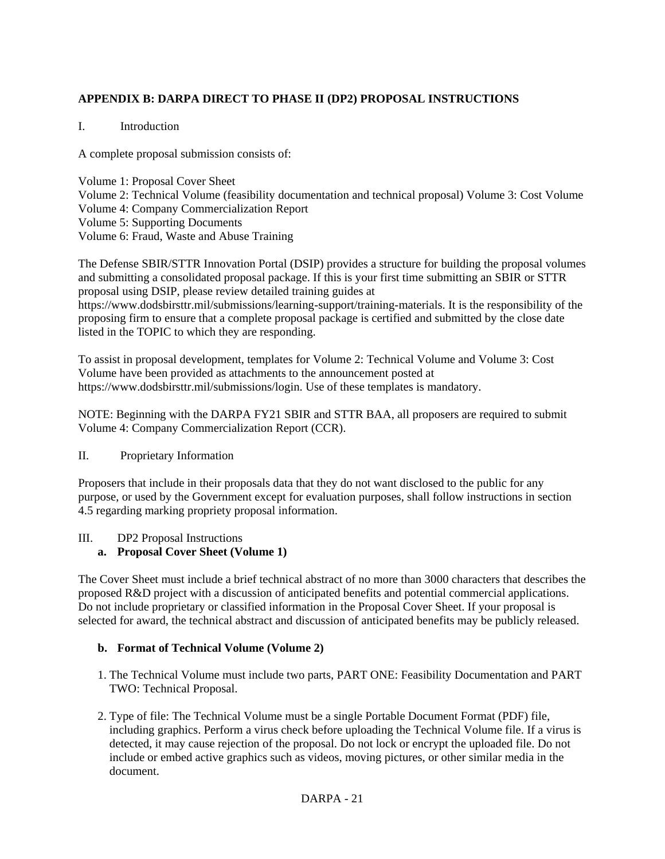# **APPENDIX B: DARPA DIRECT TO PHASE II (DP2) PROPOSAL INSTRUCTIONS**

## I. Introduction

A complete proposal submission consists of:

Volume 1: Proposal Cover Sheet Volume 2: Technical Volume (feasibility documentation and technical proposal) Volume 3: Cost Volume Volume 4: Company Commercialization Report Volume 5: Supporting Documents Volume 6: Fraud, Waste and Abuse Training

The Defense SBIR/STTR Innovation Portal (DSIP) provides a structure for building the proposal volumes and submitting a consolidated proposal package. If this is your first time submitting an SBIR or STTR proposal using DSIP, please review detailed training guides at https://www.dodsbirsttr.mil/submissions/learning-support/training-materials. It is the responsibility of the proposing firm to ensure that a complete proposal package is certified and submitted by the close date listed in the TOPIC to which they are responding.

To assist in proposal development, templates for Volume 2: Technical Volume and Volume 3: Cost Volume have been provided as attachments to the announcement posted at https://www.dodsbirsttr.mil/submissions/login. Use of these templates is mandatory.

NOTE: Beginning with the DARPA FY21 SBIR and STTR BAA, all proposers are required to submit Volume 4: Company Commercialization Report (CCR).

### II. Proprietary Information

Proposers that include in their proposals data that they do not want disclosed to the public for any purpose, or used by the Government except for evaluation purposes, shall follow instructions in section 4.5 regarding marking propriety proposal information.

### III. DP2 Proposal Instructions

## **a. Proposal Cover Sheet (Volume 1)**

The Cover Sheet must include a brief technical abstract of no more than 3000 characters that describes the proposed R&D project with a discussion of anticipated benefits and potential commercial applications. Do not include proprietary or classified information in the Proposal Cover Sheet. If your proposal is selected for award, the technical abstract and discussion of anticipated benefits may be publicly released.

### **b. Format of Technical Volume (Volume 2)**

- 1. The Technical Volume must include two parts, PART ONE: Feasibility Documentation and PART TWO: Technical Proposal.
- 2. Type of file: The Technical Volume must be a single Portable Document Format (PDF) file, including graphics. Perform a virus check before uploading the Technical Volume file. If a virus is detected, it may cause rejection of the proposal. Do not lock or encrypt the uploaded file. Do not include or embed active graphics such as videos, moving pictures, or other similar media in the document.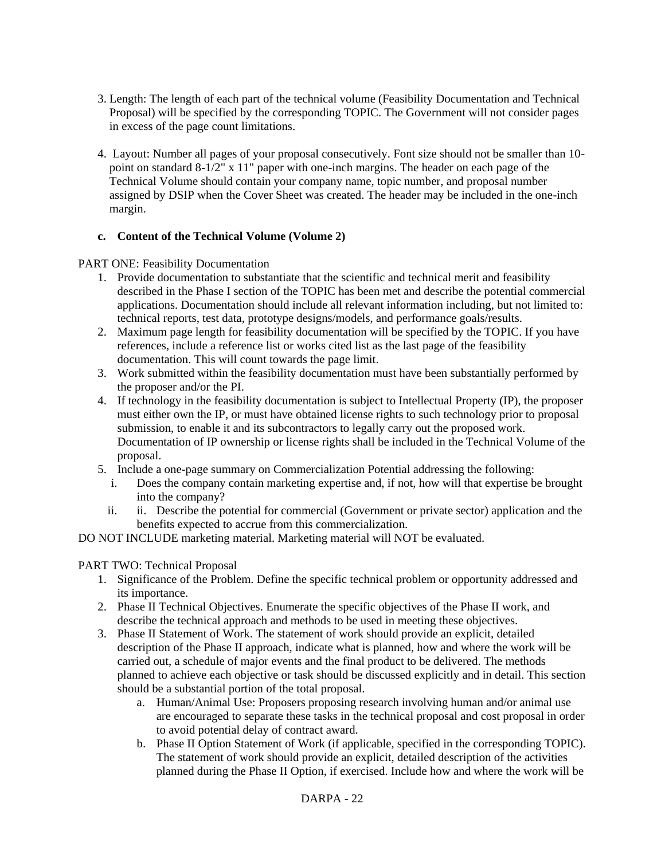- 3. Length: The length of each part of the technical volume (Feasibility Documentation and Technical Proposal) will be specified by the corresponding TOPIC. The Government will not consider pages in excess of the page count limitations.
- 4. Layout: Number all pages of your proposal consecutively. Font size should not be smaller than 10 point on standard 8-1/2" x 11" paper with one-inch margins. The header on each page of the Technical Volume should contain your company name, topic number, and proposal number assigned by DSIP when the Cover Sheet was created. The header may be included in the one-inch margin.

## **c. Content of the Technical Volume (Volume 2)**

PART ONE: Feasibility Documentation

- 1. Provide documentation to substantiate that the scientific and technical merit and feasibility described in the Phase I section of the TOPIC has been met and describe the potential commercial applications. Documentation should include all relevant information including, but not limited to: technical reports, test data, prototype designs/models, and performance goals/results.
- 2. Maximum page length for feasibility documentation will be specified by the TOPIC. If you have references, include a reference list or works cited list as the last page of the feasibility documentation. This will count towards the page limit.
- 3. Work submitted within the feasibility documentation must have been substantially performed by the proposer and/or the PI.
- 4. If technology in the feasibility documentation is subject to Intellectual Property (IP), the proposer must either own the IP, or must have obtained license rights to such technology prior to proposal submission, to enable it and its subcontractors to legally carry out the proposed work. Documentation of IP ownership or license rights shall be included in the Technical Volume of the proposal.
- 5. Include a one-page summary on Commercialization Potential addressing the following:
	- i. Does the company contain marketing expertise and, if not, how will that expertise be brought into the company?
	- ii. ii. Describe the potential for commercial (Government or private sector) application and the benefits expected to accrue from this commercialization.

DO NOT INCLUDE marketing material. Marketing material will NOT be evaluated.

### PART TWO: Technical Proposal

- 1. Significance of the Problem. Define the specific technical problem or opportunity addressed and its importance.
- 2. Phase II Technical Objectives. Enumerate the specific objectives of the Phase II work, and describe the technical approach and methods to be used in meeting these objectives.
- 3. Phase II Statement of Work. The statement of work should provide an explicit, detailed description of the Phase II approach, indicate what is planned, how and where the work will be carried out, a schedule of major events and the final product to be delivered. The methods planned to achieve each objective or task should be discussed explicitly and in detail. This section should be a substantial portion of the total proposal.
	- a. Human/Animal Use: Proposers proposing research involving human and/or animal use are encouraged to separate these tasks in the technical proposal and cost proposal in order to avoid potential delay of contract award.
	- b. Phase II Option Statement of Work (if applicable, specified in the corresponding TOPIC). The statement of work should provide an explicit, detailed description of the activities planned during the Phase II Option, if exercised. Include how and where the work will be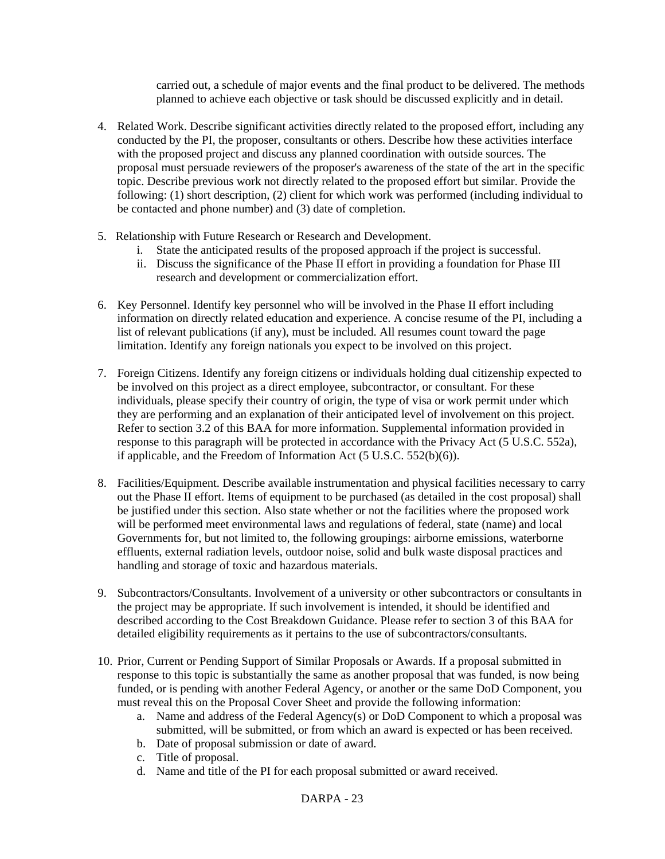carried out, a schedule of major events and the final product to be delivered. The methods planned to achieve each objective or task should be discussed explicitly and in detail.

- 4. Related Work. Describe significant activities directly related to the proposed effort, including any conducted by the PI, the proposer, consultants or others. Describe how these activities interface with the proposed project and discuss any planned coordination with outside sources. The proposal must persuade reviewers of the proposer's awareness of the state of the art in the specific topic. Describe previous work not directly related to the proposed effort but similar. Provide the following: (1) short description, (2) client for which work was performed (including individual to be contacted and phone number) and (3) date of completion.
- 5. Relationship with Future Research or Research and Development.
	- i. State the anticipated results of the proposed approach if the project is successful.
	- ii. Discuss the significance of the Phase II effort in providing a foundation for Phase III research and development or commercialization effort.
- 6. Key Personnel. Identify key personnel who will be involved in the Phase II effort including information on directly related education and experience. A concise resume of the PI, including a list of relevant publications (if any), must be included. All resumes count toward the page limitation. Identify any foreign nationals you expect to be involved on this project.
- 7. Foreign Citizens. Identify any foreign citizens or individuals holding dual citizenship expected to be involved on this project as a direct employee, subcontractor, or consultant. For these individuals, please specify their country of origin, the type of visa or work permit under which they are performing and an explanation of their anticipated level of involvement on this project. Refer to section 3.2 of this BAA for more information. Supplemental information provided in response to this paragraph will be protected in accordance with the Privacy Act (5 U.S.C. 552a), if applicable, and the Freedom of Information Act (5 U.S.C. 552(b)(6)).
- 8. Facilities/Equipment. Describe available instrumentation and physical facilities necessary to carry out the Phase II effort. Items of equipment to be purchased (as detailed in the cost proposal) shall be justified under this section. Also state whether or not the facilities where the proposed work will be performed meet environmental laws and regulations of federal, state (name) and local Governments for, but not limited to, the following groupings: airborne emissions, waterborne effluents, external radiation levels, outdoor noise, solid and bulk waste disposal practices and handling and storage of toxic and hazardous materials.
- 9. Subcontractors/Consultants. Involvement of a university or other subcontractors or consultants in the project may be appropriate. If such involvement is intended, it should be identified and described according to the Cost Breakdown Guidance. Please refer to section 3 of this BAA for detailed eligibility requirements as it pertains to the use of subcontractors/consultants.
- 10. Prior, Current or Pending Support of Similar Proposals or Awards. If a proposal submitted in response to this topic is substantially the same as another proposal that was funded, is now being funded, or is pending with another Federal Agency, or another or the same DoD Component, you must reveal this on the Proposal Cover Sheet and provide the following information:
	- a. Name and address of the Federal Agency(s) or DoD Component to which a proposal was submitted, will be submitted, or from which an award is expected or has been received.
	- b. Date of proposal submission or date of award.
	- c. Title of proposal.
	- d. Name and title of the PI for each proposal submitted or award received.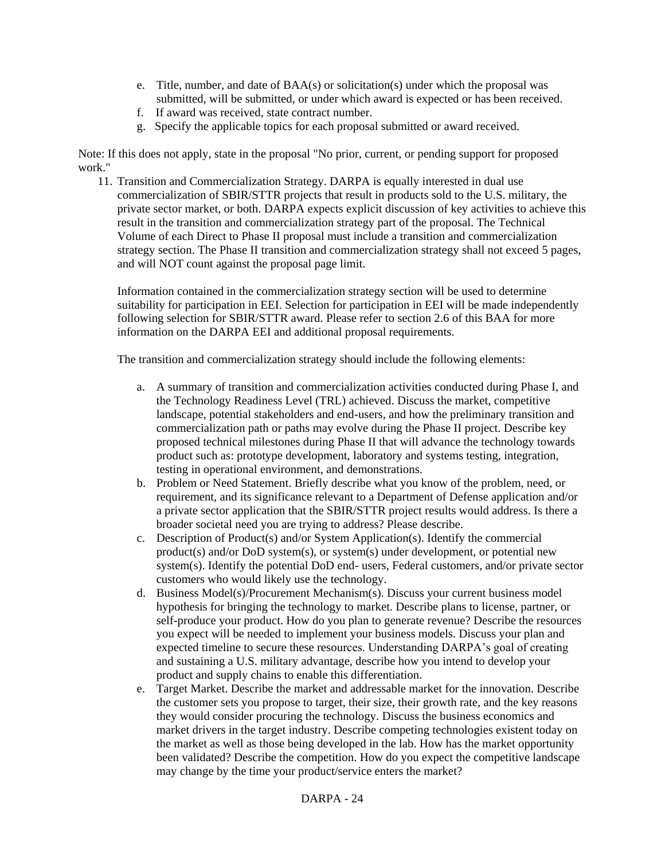- e. Title, number, and date of BAA(s) or solicitation(s) under which the proposal was submitted, will be submitted, or under which award is expected or has been received.
- f. If award was received, state contract number.
- g. Specify the applicable topics for each proposal submitted or award received.

Note: If this does not apply, state in the proposal "No prior, current, or pending support for proposed work."

11. Transition and Commercialization Strategy. DARPA is equally interested in dual use commercialization of SBIR/STTR projects that result in products sold to the U.S. military, the private sector market, or both. DARPA expects explicit discussion of key activities to achieve this result in the transition and commercialization strategy part of the proposal. The Technical Volume of each Direct to Phase II proposal must include a transition and commercialization strategy section. The Phase II transition and commercialization strategy shall not exceed 5 pages, and will NOT count against the proposal page limit.

Information contained in the commercialization strategy section will be used to determine suitability for participation in EEI. Selection for participation in EEI will be made independently following selection for SBIR/STTR award. Please refer to section 2.6 of this BAA for more information on the DARPA EEI and additional proposal requirements.

The transition and commercialization strategy should include the following elements:

- a. A summary of transition and commercialization activities conducted during Phase I, and the Technology Readiness Level (TRL) achieved. Discuss the market, competitive landscape, potential stakeholders and end-users, and how the preliminary transition and commercialization path or paths may evolve during the Phase II project. Describe key proposed technical milestones during Phase II that will advance the technology towards product such as: prototype development, laboratory and systems testing, integration, testing in operational environment, and demonstrations.
- b. Problem or Need Statement. Briefly describe what you know of the problem, need, or requirement, and its significance relevant to a Department of Defense application and/or a private sector application that the SBIR/STTR project results would address. Is there a broader societal need you are trying to address? Please describe.
- c. Description of Product(s) and/or System Application(s). Identify the commercial product(s) and/or DoD system(s), or system(s) under development, or potential new system(s). Identify the potential DoD end- users, Federal customers, and/or private sector customers who would likely use the technology.
- d. Business Model(s)/Procurement Mechanism(s). Discuss your current business model hypothesis for bringing the technology to market. Describe plans to license, partner, or self-produce your product. How do you plan to generate revenue? Describe the resources you expect will be needed to implement your business models. Discuss your plan and expected timeline to secure these resources. Understanding DARPA's goal of creating and sustaining a U.S. military advantage, describe how you intend to develop your product and supply chains to enable this differentiation.
- e. Target Market. Describe the market and addressable market for the innovation. Describe the customer sets you propose to target, their size, their growth rate, and the key reasons they would consider procuring the technology. Discuss the business economics and market drivers in the target industry. Describe competing technologies existent today on the market as well as those being developed in the lab. How has the market opportunity been validated? Describe the competition. How do you expect the competitive landscape may change by the time your product/service enters the market?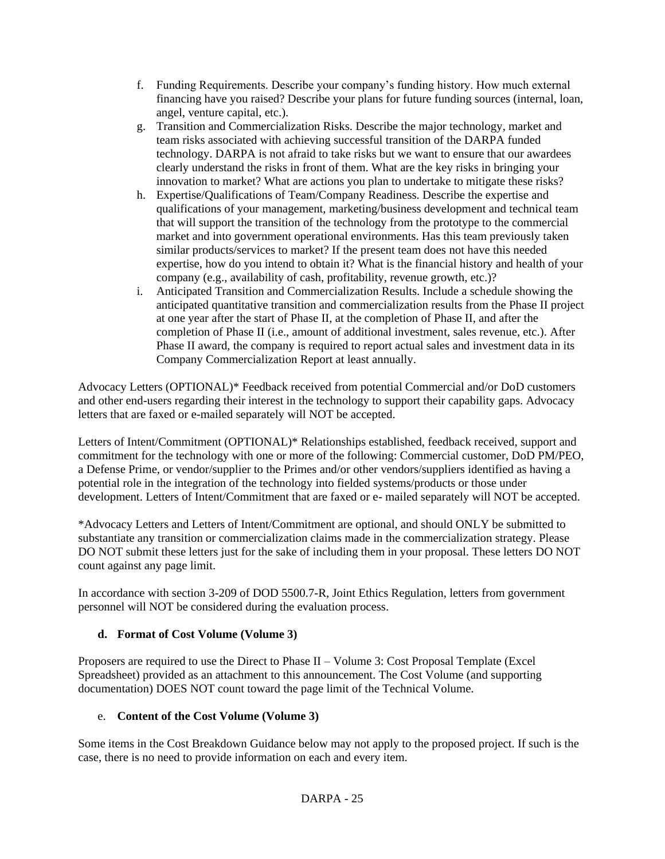- f. Funding Requirements. Describe your company's funding history. How much external financing have you raised? Describe your plans for future funding sources (internal, loan, angel, venture capital, etc.).
- g. Transition and Commercialization Risks. Describe the major technology, market and team risks associated with achieving successful transition of the DARPA funded technology. DARPA is not afraid to take risks but we want to ensure that our awardees clearly understand the risks in front of them. What are the key risks in bringing your innovation to market? What are actions you plan to undertake to mitigate these risks?
- h. Expertise/Qualifications of Team/Company Readiness. Describe the expertise and qualifications of your management, marketing/business development and technical team that will support the transition of the technology from the prototype to the commercial market and into government operational environments. Has this team previously taken similar products/services to market? If the present team does not have this needed expertise, how do you intend to obtain it? What is the financial history and health of your company (e.g., availability of cash, profitability, revenue growth, etc.)?
- i. Anticipated Transition and Commercialization Results. Include a schedule showing the anticipated quantitative transition and commercialization results from the Phase II project at one year after the start of Phase II, at the completion of Phase II, and after the completion of Phase II (i.e., amount of additional investment, sales revenue, etc.). After Phase II award, the company is required to report actual sales and investment data in its Company Commercialization Report at least annually.

Advocacy Letters (OPTIONAL)\* Feedback received from potential Commercial and/or DoD customers and other end-users regarding their interest in the technology to support their capability gaps. Advocacy letters that are faxed or e-mailed separately will NOT be accepted.

Letters of Intent/Commitment (OPTIONAL)\* Relationships established, feedback received, support and commitment for the technology with one or more of the following: Commercial customer, DoD PM/PEO, a Defense Prime, or vendor/supplier to the Primes and/or other vendors/suppliers identified as having a potential role in the integration of the technology into fielded systems/products or those under development. Letters of Intent/Commitment that are faxed or e- mailed separately will NOT be accepted.

\*Advocacy Letters and Letters of Intent/Commitment are optional, and should ONLY be submitted to substantiate any transition or commercialization claims made in the commercialization strategy. Please DO NOT submit these letters just for the sake of including them in your proposal. These letters DO NOT count against any page limit.

In accordance with section 3-209 of DOD 5500.7-R, Joint Ethics Regulation, letters from government personnel will NOT be considered during the evaluation process.

## **d. Format of Cost Volume (Volume 3)**

Proposers are required to use the Direct to Phase II – Volume 3: Cost Proposal Template (Excel Spreadsheet) provided as an attachment to this announcement. The Cost Volume (and supporting documentation) DOES NOT count toward the page limit of the Technical Volume.

## e. **Content of the Cost Volume (Volume 3)**

Some items in the Cost Breakdown Guidance below may not apply to the proposed project. If such is the case, there is no need to provide information on each and every item.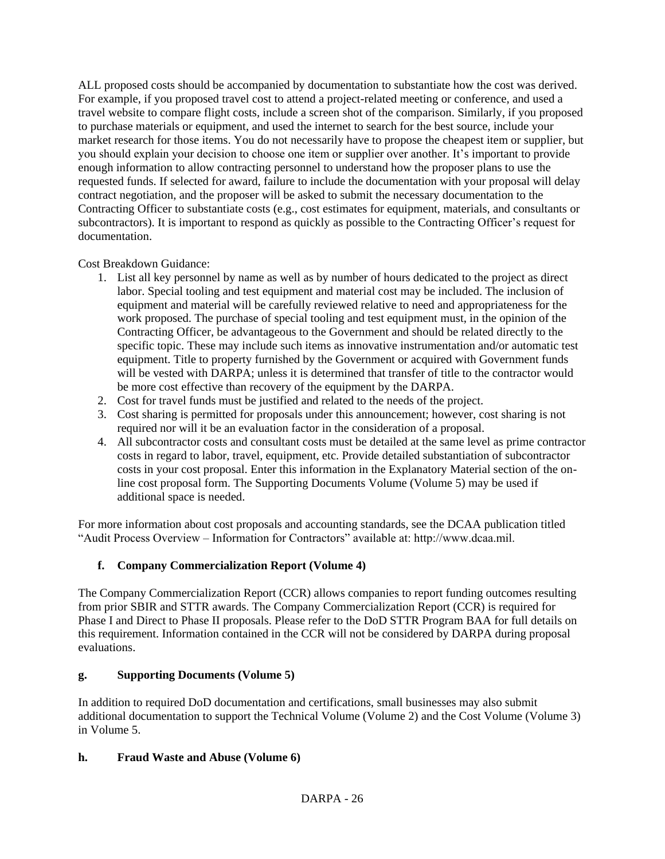ALL proposed costs should be accompanied by documentation to substantiate how the cost was derived. For example, if you proposed travel cost to attend a project-related meeting or conference, and used a travel website to compare flight costs, include a screen shot of the comparison. Similarly, if you proposed to purchase materials or equipment, and used the internet to search for the best source, include your market research for those items. You do not necessarily have to propose the cheapest item or supplier, but you should explain your decision to choose one item or supplier over another. It's important to provide enough information to allow contracting personnel to understand how the proposer plans to use the requested funds. If selected for award, failure to include the documentation with your proposal will delay contract negotiation, and the proposer will be asked to submit the necessary documentation to the Contracting Officer to substantiate costs (e.g., cost estimates for equipment, materials, and consultants or subcontractors). It is important to respond as quickly as possible to the Contracting Officer's request for documentation.

Cost Breakdown Guidance:

- 1. List all key personnel by name as well as by number of hours dedicated to the project as direct labor. Special tooling and test equipment and material cost may be included. The inclusion of equipment and material will be carefully reviewed relative to need and appropriateness for the work proposed. The purchase of special tooling and test equipment must, in the opinion of the Contracting Officer, be advantageous to the Government and should be related directly to the specific topic. These may include such items as innovative instrumentation and/or automatic test equipment. Title to property furnished by the Government or acquired with Government funds will be vested with DARPA; unless it is determined that transfer of title to the contractor would be more cost effective than recovery of the equipment by the DARPA.
- 2. Cost for travel funds must be justified and related to the needs of the project.
- 3. Cost sharing is permitted for proposals under this announcement; however, cost sharing is not required nor will it be an evaluation factor in the consideration of a proposal.
- 4. All subcontractor costs and consultant costs must be detailed at the same level as prime contractor costs in regard to labor, travel, equipment, etc. Provide detailed substantiation of subcontractor costs in your cost proposal. Enter this information in the Explanatory Material section of the online cost proposal form. The Supporting Documents Volume (Volume 5) may be used if additional space is needed.

For more information about cost proposals and accounting standards, see the DCAA publication titled "Audit Process Overview – Information for Contractors" available at: http://www.dcaa.mil.

# **f. Company Commercialization Report (Volume 4)**

The Company Commercialization Report (CCR) allows companies to report funding outcomes resulting from prior SBIR and STTR awards. The Company Commercialization Report (CCR) is required for Phase I and Direct to Phase II proposals. Please refer to the DoD STTR Program BAA for full details on this requirement. Information contained in the CCR will not be considered by DARPA during proposal evaluations.

## **g. Supporting Documents (Volume 5)**

In addition to required DoD documentation and certifications, small businesses may also submit additional documentation to support the Technical Volume (Volume 2) and the Cost Volume (Volume 3) in Volume 5.

## **h. Fraud Waste and Abuse (Volume 6)**